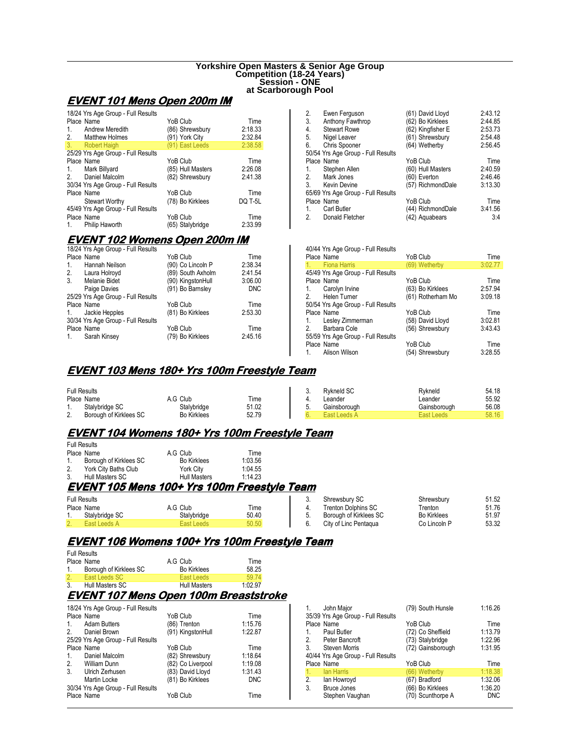#### **Yorkshire Open Masters & Senior Age Group Competition (18-24 Years) Session - ONE at Scarborough Pool**

# **EVENT 101 Mens Open 200m IM**

| 18/24 Yrs Age Group - Full Results |                   |         |
|------------------------------------|-------------------|---------|
| Place Name                         | YoB Club          | Time    |
| Andrew Meredith<br>1.              | (86) Shrewsbury   | 2:18.33 |
| Matthew Holmes<br>2.               | (91) York City    | 2:32.84 |
| 3. Robert Haigh                    | (91) East Leeds   | 2:38.58 |
| 25/29 Yrs Age Group - Full Results |                   |         |
| Place Name                         | YoB Club          | Time    |
| 1. Mark Billyard                   | (85) Hull Masters | 2:26.08 |
| Daniel Malcolm<br>2.               | (82) Shrewsbury   | 2:41.38 |
| 30/34 Yrs Age Group - Full Results |                   |         |
| Place Name                         | YoB Club          | Time    |
| <b>Stewart Worthy</b>              | (78) Bo Kirklees  | DQ T-5L |
| 45/49 Yrs Age Group - Full Results |                   |         |
| Place Name                         | YoB Club          | Time    |
| Philip Haworth<br>$1_{-}$          | (65) Stalybridge  | 2:33.99 |

# <u>EVENT 102 Womens Open 200m IM</u>

|            | 18/24 Yrs Age Group - Full Results |                   |            |
|------------|------------------------------------|-------------------|------------|
|            | Place Name                         | YoB Club          | Time       |
| 1.         | Hannah Neilson                     | (90) Co Lincoln P | 2:38.34    |
| 2.         | Laura Holroyd                      | (89) South Axholm | 2:41.54    |
| 3.         | Melanie Bidet                      | (90) KingstonHull | 3:06.00    |
|            | Paige Davies                       | (91) Bo Barnsley  | <b>DNC</b> |
|            | 25/29 Yrs Age Group - Full Results |                   |            |
|            | Place Name                         | YoB Club          | Time       |
|            | 1. Jackie Hepples                  | (81) Bo Kirklees  | 2:53.30    |
|            | 30/34 Yrs Age Group - Full Results |                   |            |
| Place Name |                                    | YoB Club          | Time       |
| 1.         | Sarah Kinsey                       | (79) Bo Kirklees  | 2:45.16    |

| 2.             | Ewen Ferguson                      | (61) David Lloyd  | 2:43.12 |
|----------------|------------------------------------|-------------------|---------|
| 3.             | Anthony Fawthrop                   | (62) Bo Kirklees  | 2:44.85 |
| 4.             | <b>Stewart Rowe</b>                | (62) Kingfisher E | 2:53.73 |
| 5.             | Nigel Leaver                       | (61) Shrewsbury   | 2:54.48 |
| 6.             | Chris Spooner                      | (64) Wetherby     | 2:56.45 |
|                | 50/54 Yrs Age Group - Full Results |                   |         |
|                | Place Name                         | YoB Club          | Time    |
| 1.             | Stephen Allen                      | (60) Hull Masters | 2:40.59 |
|                | 2. Mark Jones                      | (60) Everton      | 2:46.46 |
| 3.             | <b>Kevin Devine</b>                | (57) RichmondDale | 3:13.30 |
|                | 65/69 Yrs Age Group - Full Results |                   |         |
|                | Place Name                         | YoB Club          | Time    |
| 1.             | <b>Carl Butler</b>                 | (44) RichmondDale | 3:41.56 |
| 2 <sub>1</sub> | Donald Fletcher                    | (42) Aquabears    | 3:4     |

| 40/44 Yrs Age Group - Full Results |                   |         |
|------------------------------------|-------------------|---------|
| Place Name                         | YoB Club          | Time    |
| 1. Fiona Harris                    | (69) Wetherby     | 3:02.77 |
| 45/49 Yrs Age Group - Full Results |                   |         |
| Place Name                         | YoB Club          | Time    |
| 1. Carolyn Irvine                  | (63) Bo Kirklees  | 2:57.94 |
| 2. Helen Turner                    | (61) Rotherham Mo | 3:09.18 |
| 50/54 Yrs Age Group - Full Results |                   |         |
| Place Name                         | YoB Club          | Time    |
| 1. Lesley Zimmerman                | (58) David Lloyd  | 3:02.81 |
| Barbara Cole<br>2                  | (56) Shrewsbury   | 3:43.43 |
| 55/59 Yrs Age Group - Full Results |                   |         |
| Place Name                         | YoB Club          | Time    |
| Alison Wilson<br>1.                | (54) Shrewsbury   | 3:28.55 |
|                                    |                   |         |

# **EVENT 103 Mens 180+ Yrs 100m Freestyle Team**

| <b>Full Results</b> |                        |                    |       | v. | <b>Rvkneld SC</b> | Rvkneld           | 54.18 |
|---------------------|------------------------|--------------------|-------|----|-------------------|-------------------|-------|
|                     | Place Name             | <b>A.G Club</b>    | Time  |    | eander            | ∟eander           | 55.92 |
|                     | Stalvbridge SC         | Stalybridge        | 51.02 | v. | Gainsborough      | Gainsborough      | 56.08 |
| <u>.</u>            | Borough of Kirklees SC | <b>Bo Kirklees</b> | 52.79 |    |                   | <b>East Leeds</b> | 58.16 |

# **EVENT104 Womens 180+ Yrs 100m Freestyle Team 104 Womens 180+ Yrs 100m Team**

|         | <b>Full Results</b>    |                     |         |
|---------|------------------------|---------------------|---------|
|         | Place Name             | A.G Club            | Time    |
| $1_{-}$ | Borough of Kirklees SC | <b>Bo Kirklees</b>  | 1:03.56 |
| 2.      | York City Baths Club   | York City           | 1:04.55 |
| 3.      | Hull Masters SC        | <b>Hull Masters</b> | 1:14.23 |

# **EVENT 105 Mens 100+ Yrs 100m Freestyle Team**

| <b>Full Results</b> |             |       |    | Shrewsburv SC          | Shrewsburv         | 51.52 |
|---------------------|-------------|-------|----|------------------------|--------------------|-------|
| Place Name          | Club<br>A.G | Time  |    | Trenton Dolphins SC    | l renton           | 51.76 |
| Stalvbridge SC      | Stalvbridge | 50.40 | v. | Borough of Kirklees SC | <b>Bo Kirklees</b> | 51.97 |
|                     | fast Leeds  | 50.50 |    | City of Linc Pentagua  | Co Lincoln P       | 53.32 |

# **EVENT106 Womens 100+ Yrs 100m Freestyle Team 106 Womens Team**

| <b>Full Results</b> |                        |                    |         |  |  |  |  |
|---------------------|------------------------|--------------------|---------|--|--|--|--|
|                     | Place Name             | A.G Club           | Time    |  |  |  |  |
| $1_{-}$             | Borough of Kirklees SC | <b>Bo Kirklees</b> | 58.25   |  |  |  |  |
| 2.                  | East Leeds SC          | East Leeds         | 59 74   |  |  |  |  |
| 3.                  | Hull Masters SC        | Hull Masters       | 1:02.97 |  |  |  |  |

# <u>EVENT 107 Mens Open 100m Breaststroke</u>

|                | 18/24 Yrs Age Group - Full Results |                   |            |
|----------------|------------------------------------|-------------------|------------|
|                | Place Name                         | YoB Club          | Time       |
| $\mathbf{1}$ . | <b>Adam Butters</b>                | (86) Trenton      | 1:15.76    |
| 2.             | Daniel Brown                       | (91) KingstonHull | 1:22.87    |
|                | 25/29 Yrs Age Group - Full Results |                   |            |
|                | Place Name                         | YoB Club          | Time       |
| 1.             | Daniel Malcolm                     | (82) Shrewsbury   | 1:18.64    |
|                | 2. William Dunn                    | (82) Co Liverpool | 1:19.08    |
| 3 <sub>1</sub> | Ulrich Zerhusen                    | (83) David Lloyd  | 1:31.43    |
|                | Martin Locke                       | (81) Bo Kirklees  | <b>DNC</b> |
|                | 30/34 Yrs Age Group - Full Results |                   |            |
|                | Place Name                         | YoB Club          | Time       |

| John Major                         | (79) South Hunsle | 1:16.26    |
|------------------------------------|-------------------|------------|
| 35/39 Yrs Age Group - Full Results |                   |            |
| Place Name                         | YoB Club          | Time       |
| Paul Butler<br>1.                  | (72) Co Sheffield | 1:13.79    |
| Peter Bancroft<br>2.               | (73) Stalybridge  | 1:22.96    |
| 3.<br>Steven Morris                | (72) Gainsborough | 1:31.95    |
| 40/44 Yrs Age Group - Full Results |                   |            |
| Place Name                         | YoB Club          | Time       |
| lan Harris<br>1.                   | (66) Wetherby     | 1:18.38    |
| 2.<br>lan Howroyd                  | (67) Bradford     | 1:32.06    |
| <b>Bruce Jones</b><br>3.           | (66) Bo Kirklees  | 1:36.20    |
| Stephen Vaughan                    | (70) Scunthorpe A | <b>DNC</b> |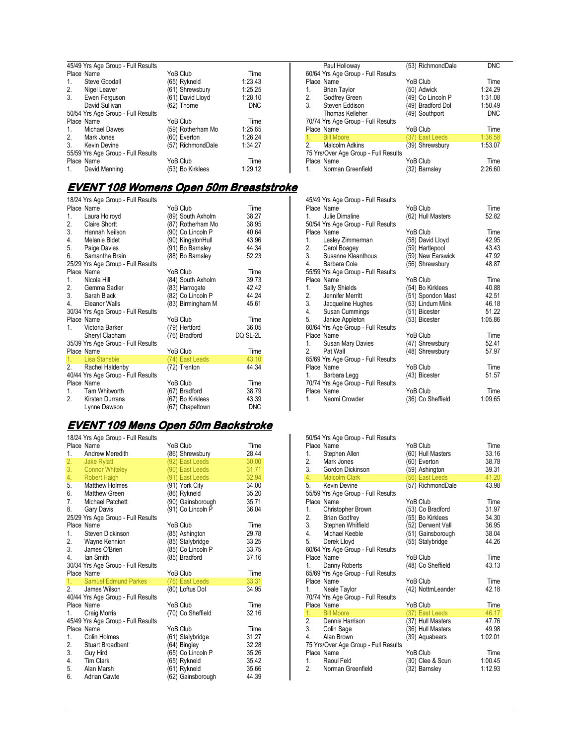| 45/49 Yrs Age Group - Full Results |                   |            |  |  |  |
|------------------------------------|-------------------|------------|--|--|--|
| Place Name                         | YoB Club          | Time       |  |  |  |
| Steve Goodall<br>1.                | (65) Rykneld      | 1:23.43    |  |  |  |
| 2.<br>Nigel Leaver                 | (61) Shrewsbury   | 1:25.25    |  |  |  |
| Ewen Ferguson<br>3.                | (61) David Lloyd  | 1:28.10    |  |  |  |
| David Sullivan                     | (62) Thorne       | <b>DNC</b> |  |  |  |
| 50/54 Yrs Age Group - Full Results |                   |            |  |  |  |
| Place Name                         | YoB Club          | Time       |  |  |  |
| Michael Dawes<br>1.                | (59) Rotherham Mo | 1:25.65    |  |  |  |
| 2. Mark Jones                      | (60) Everton      | 1:26.24    |  |  |  |
| 3 <sub>1</sub><br>Kevin Devine     | (57) RichmondDale | 1:34.27    |  |  |  |
| 55/59 Yrs Age Group - Full Results |                   |            |  |  |  |
| Place Name                         | YoB Club          | Time       |  |  |  |
| David Manning<br>1.                | (53) Bo Kirklees  | 1:29.12    |  |  |  |

#### **EVENT108 Womens Open 50m Breaststroke 108 Womens 50m Breaststroke**

|    | 18/24 Yrs Age Group - Full Results |                   |            |
|----|------------------------------------|-------------------|------------|
|    | Place Name                         | YoB Club          | Time       |
| 1. | Laura Holroyd                      | (89) South Axholm | 38.27      |
|    | 2. Claire Shortt                   | (87) Rotherham Mo | 38.95      |
|    | 3. Hannah Neilson                  | (90) Co Lincoln P | 40.64      |
|    | 4. Melanie Bidet                   | (90) KingstonHull | 43.96      |
| 5. | Paige Davies                       | (91) Bo Barnsley  | 44.34      |
| 6. | Samantha Brain                     | (88) Bo Barnsley  | 52.23      |
|    | 25/29 Yrs Age Group - Full Results |                   |            |
|    | Place Name                         | YoB Club          | Time       |
| 1. | Nicola Hill                        | (84) South Axholm | 39.73      |
|    | 2. Gemma Sadler                    | (83) Harrogate    | 42.42      |
|    | 3. Sarah Black                     | (82) Co Lincoln P | 44.24      |
|    | 4. Eleanor Walls                   | (83) Birmingham M | 45.61      |
|    | 30/34 Yrs Age Group - Full Results |                   |            |
|    | Place Name                         | YoB Club          | Time       |
| 1. | Victoria Barker                    | (79) Hertford     | 36.05      |
|    | Sheryl Clapham                     | (76) Bradford     | DQ SL-2L   |
|    | 35/39 Yrs Age Group - Full Results |                   |            |
|    | Place Name                         | YoB Club          | Time       |
|    | 1. Lisa Stansbie                   | (74) East Leeds   | 43.10      |
|    | 2. Rachel Haldenby                 | (72) Trenton      | 44.34      |
|    | 40/44 Yrs Age Group - Full Results |                   |            |
|    | Place Name                         | YoB Club          | Time       |
| 1. | Tam Whitworth                      | (67) Bradford     | 38.79      |
| 2. | Kirsten Durrans                    | (67) Bo Kirklees  | 43.39      |
|    | Lynne Dawson                       | (67) Chapeltown   | <b>DNC</b> |

#### <u>EVENT 109 Mens Open 50m Backstroke</u>

|    | 18/24 Yrs Age Group - Full Results |                   |       |
|----|------------------------------------|-------------------|-------|
|    | Place Name                         | YoB Club          | Time  |
| 1. | Andrew Meredith                    | (86) Shrewsbury   | 28.44 |
| 2. | Jake Rylatt                        | (92) East Leeds   | 30.00 |
| 3. | <b>Connor Whiteley</b>             | (90) East Leeds   | 31.71 |
| 4. | Robert Haigh                       | (91) East Leeds   | 32.94 |
| 5. | <b>Matthew Holmes</b>              | (91) York City    | 34.00 |
|    | 6. Matthew Green                   | (86) Rykneld      | 35.20 |
| 7. | Michael Patchett                   | (90) Gainsborough | 35.71 |
| 8. | Gary Davis                         | (91) Co Lincoln P | 36.04 |
|    | 25/29 Yrs Age Group - Full Results |                   |       |
|    | Place Name                         | YoB Club          | Time  |
| 1. | Steven Dickinson                   | (85) Ashington    | 29.78 |
|    | 2. Wayne Kennion                   | (85) Stalybridge  | 33.25 |
| 3. | James O'Brien                      | (85) Co Lincoln P | 33.75 |
| 4. | lan Smith                          | (85) Bradford     | 37.16 |
|    | 30/34 Yrs Age Group - Full Results |                   |       |
|    | Place Name                         | YoB Club          | Time  |
| 1. | <b>Samuel Edmund Parkes</b>        | (76) East Leeds   | 33.31 |
|    | 2. James Wilson                    | (80) Loftus Dol   | 34.95 |
|    | 40/44 Yrs Age Group - Full Results |                   |       |
|    | Place Name                         | YoB Club          | Time  |
| 1. | Craig Morris                       | (70) Co Sheffield | 32.16 |
|    | 45/49 Yrs Age Group - Full Results |                   |       |
|    | Place Name                         | YoB Club          | Time  |
| 1. | Colin Holmes                       | (61) Stalybridge  | 31.27 |
| 2. | Stuart Broadbent                   | (64) Bingley      | 32.28 |
| 3. | Guy Hird                           | (65) Co Lincoln P | 35.26 |
| 4. | Tim Clark                          | (65) Rykneld      | 35.42 |
| 5. | Alan Marsh                         | (61) Rykneld      | 35.66 |
| 6. | Adrian Cawte                       | (62) Gainsborough | 44.39 |

| Paul Holloway                        | (53) RichmondDale | <b>DNC</b> |
|--------------------------------------|-------------------|------------|
| 60/64 Yrs Age Group - Full Results   |                   |            |
| Place Name                           | YoB Club          | Time       |
| <b>Brian Taylor</b><br>1.            | (50) Adwick       | 1:24.29    |
| Godfrey Green<br>2.                  | (49) Co Lincoln P | 1:31.08    |
| Steven Eddison<br>3.                 | (49) Bradford Dol | 1:50.49    |
| Thomas Kelleher                      | (49) Southport    | <b>DNC</b> |
| 70/74 Yrs Age Group - Full Results   |                   |            |
| Place Name                           | YoB Club          | Time       |
| <b>Bill Moore</b><br>1.              | (37) East Leeds   | 1:36.58    |
| <b>Malcolm Adkins</b><br>2.          | (39) Shrewsbury   | 1:53.07    |
| 75 Yrs/Over Age Group - Full Results |                   |            |
| Place Name                           | YoB Club          | Time       |
| Norman Greenfield<br>1               | (32) Barnsley     | 2:26.60    |

| 45/49 Yrs Age Group - Full Results |                   |         |
|------------------------------------|-------------------|---------|
| Place Name                         | YoB Club          | Time    |
| Julie Dimaline<br>1 $\sqrt{2}$     | (62) Hull Masters | 52.82   |
| 50/54 Yrs Age Group - Full Results |                   |         |
| Place Name                         | YoB Club          | Time    |
| 1. Lesley Zimmerman                | (58) David Lloyd  | 42.95   |
| 2. Carol Boagey                    | (59) Hartlepool   | 43.43   |
| 3. Susanne Kleanthous              | (59) New Earswick | 47.92   |
| 4. Barbara Cole                    | (56) Shrewsbury   | 48.87   |
| 55/59 Yrs Age Group - Full Results |                   |         |
| Place Name                         | YoB Club          | Time    |
| 1.<br>Sally Shields                | (54) Bo Kirklees  | 40.88   |
| 2. Jennifer Merritt                | (51) Spondon Mast | 42.51   |
| 3. Jacqueline Hughes               | (53) Lindum Mink  | 46.18   |
|                                    |                   | 51.22   |
| 4. Susan Cummings                  | (51) Bicester     | 1:05.86 |
| 5. Janice Appleton                 | (53) Bicester     |         |
| 60/64 Yrs Age Group - Full Results |                   |         |
| Place Name                         | YoB Club          | Time    |
| Susan Mary Davies<br>1.            | (47) Shrewsbury   | 52.41   |
| Pat Wall<br>2.                     | (48) Shrewsbury   | 57.97   |
| 65/69 Yrs Age Group - Full Results |                   |         |
| Place Name                         | YoB Club          | Time    |
| Barbara Legg<br>1.                 | (43) Bicester     | 51.57   |
| 70/74 Yrs Age Group - Full Results |                   |         |
| Place Name                         | YoB Club          | Time    |
| Naomi Crowder<br>1. $\blacksquare$ | (36) Co Sheffield | 1:09.65 |
|                                    |                   |         |

| 1.<br>2.<br>3. | 50/54 Yrs Age Group - Full Results<br>Place Name<br>Stephen Allen<br>Mark Jones<br>Gordon Dickinson | YoB Club<br>(60) Hull Masters<br>(60) Everton<br>(59) Ashington | Time<br>33.16<br>38.78<br>39.31 |
|----------------|-----------------------------------------------------------------------------------------------------|-----------------------------------------------------------------|---------------------------------|
| 4.             | Malcolm Clark                                                                                       | (56) East Leeds                                                 | 41.20                           |
| 5.             | Kevin Devine<br>55/59 Yrs Age Group - Full Results                                                  | (57) RichmondDale                                               | 43.98                           |
|                | Place Name                                                                                          | YoB Club                                                        | Time                            |
| 1.             | Christopher Brown                                                                                   | (53) Co Bradford                                                | 31.97                           |
|                | 2. Brian Godfrey                                                                                    | (55) Bo Kirklees                                                | 34.30                           |
|                | 3. Stephen Whitfield                                                                                | (52) Derwent Vall                                               | 36.95                           |
|                | 4. Michael Keeble                                                                                   | (51) Gainsborough                                               | 38.04                           |
|                | 5. Derek Lloyd                                                                                      | (55) Stalybridge                                                | 44.26                           |
|                | 60/64 Yrs Age Group - Full Results                                                                  |                                                                 |                                 |
|                | Place Name                                                                                          | YoB Club                                                        | Time                            |
|                | 1. Danny Roberts                                                                                    | (48) Co Sheffield                                               | 43.13                           |
|                | 65/69 Yrs Age Group - Full Results                                                                  |                                                                 |                                 |
|                | Place Name                                                                                          | YoB Club                                                        | Time                            |
| 1.             | Neale Taylor                                                                                        | (42) NottmLeander                                               | 42.18                           |
|                | 70/74 Yrs Age Group - Full Results                                                                  |                                                                 |                                 |
|                | Place Name                                                                                          | YoB Club                                                        | Time                            |
|                | 1. Bill Moore                                                                                       | (37) East Leeds                                                 | 46.17                           |
|                | 2. Dennis Harrison                                                                                  | (37) Hull Masters                                               | 47.76                           |
|                | 3. Colin Sage                                                                                       | (36) Hull Masters                                               | 49.98                           |
| 4.             | Alan Brown                                                                                          | (39) Aquabears                                                  | 1:02.01                         |
|                | 75 Yrs/Over Age Group - Full Results                                                                |                                                                 |                                 |
|                | Place Name                                                                                          | YoB Club                                                        | Time                            |
| 1.             | Raoul Feld                                                                                          | (30) Clee & Scun                                                | 1:00.45                         |
|                | 2. Norman Greenfield                                                                                | (32) Barnsley                                                   | 1:12.93                         |
|                |                                                                                                     |                                                                 |                                 |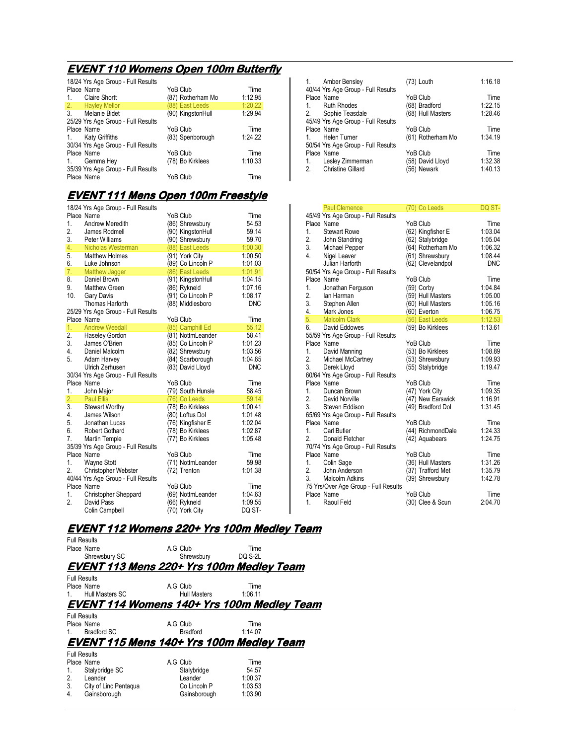# **EVENT 110 Womens Open 100m Butterfly**

| 18/24 Yrs Age Group - Full Results    |                   |         |
|---------------------------------------|-------------------|---------|
| Place Name                            | YoB Club          | Time    |
| <b>Claire Shortt</b><br>1.            | (87) Rotherham Mo | 1:12.95 |
| 2. Hayley Mellor                      | (88) East Leeds   | 1:20.22 |
| Melanie Bidet<br>3 <sub>1</sub>       | (90) KingstonHull | 1:29.94 |
| 25/29 Yrs Age Group - Full Results    |                   |         |
| Place Name                            | YoB Club          | Time    |
| <b>Katy Griffiths</b><br>$1_{\ldots}$ | (83) Spenborough  | 1:24.22 |
| 30/34 Yrs Age Group - Full Results    |                   |         |
| Place Name                            | YoB Club          | Time    |
| Gemma Hey<br>1.                       | (78) Bo Kirklees  | 1:10.33 |
| 35/39 Yrs Age Group - Full Results    |                   |         |
| Place Name                            | YoB Club          | Time    |

### **EVENT111 Mens Open 100m Freestyle 111 Mens Open 100m Freestyle**

| 18/24 Yrs Age Group - Full Results                    |                   |                    |
|-------------------------------------------------------|-------------------|--------------------|
| Place Name                                            | YoB Club          | Time               |
| <b>Andrew Meredith</b><br>1.                          | (86) Shrewsbury   | 54.53              |
| 2.<br>James Rodmell                                   | (90) KingstonHull | 59.14              |
| 3.<br>Peter Williams                                  | (90) Shrewsbury   | 59.70              |
| 4.<br>Nicholas Westerman                              | (88) East Leeds   | 1:00.30            |
| 5.<br><b>Matthew Holmes</b>                           | (91) York City    | 1:00.50            |
| 6.<br>Luke Johnson                                    | (89) Co Lincoln P | 1:01.03            |
| 7.<br><b>Matthew Jagger</b>                           | (86) East Leeds   | 1:01.91            |
| 8.<br>Daniel Brown                                    | (91) KingstonHull | 1:04.15            |
| 9.<br>Matthew Green                                   | (86) Rykneld      | 1:07.16            |
| 10.<br>Gary Davis                                     | (91) Co Lincoln P | 1:08.17            |
| Thomas Harforth                                       | (88) Middlesboro  | <b>DNC</b>         |
| 25/29 Yrs Age Group - Full Results                    |                   |                    |
| Place Name                                            | YoB Club          | Time               |
| 1.<br><b>Andrew Weedall</b>                           | (85) Camphill Ed  | 55.12              |
| 2.<br>Haseley Gordon                                  | (81) NottmLeander | 58.41              |
| 3.<br>James O'Brien                                   | (85) Co Lincoln P | 1:01.23            |
| 4.<br>Daniel Malcolm                                  | (82) Shrewsbury   | 1:03.56            |
| 5.<br>Adam Harvey                                     | (84) Scarborough  | 1:04.65            |
| Ulrich Zerhusen                                       | (83) David Lloyd  | <b>DNC</b>         |
| 30/34 Yrs Age Group - Full Results                    |                   |                    |
| Place Name                                            | YoB Club          | Time               |
| 1.<br>John Major                                      | (79) South Hunsle | 58.45              |
| 2.<br><b>Paul Ellis</b>                               | (76) Co Leeds     | 59.14              |
| Stewart Worthy<br>3.                                  | (78) Bo Kirklees  | 1:00.41            |
| 4.<br>James Wilson                                    | (80) Loftus Dol   | 1:01.48            |
| 5.<br>Jonathan Lucas                                  | (76) Kingfisher E | 1:02.04            |
| 6.<br><b>Robert Gothard</b>                           | (78) Bo Kirklees  | 1:02.87            |
| 7.<br>Martin Temple                                   | (77) Bo Kirklees  | 1:05.48            |
| 35/39 Yrs Age Group - Full Results<br>Place Name      | YoB Club          |                    |
|                                                       |                   | Time               |
| 1.<br><b>Wayne Stott</b>                              | (71) NottmLeander | 59.98              |
| 2.<br>Christopher Webster                             | (72) Trenton      | 1:01.38            |
| 40/44 Yrs Age Group - Full Results<br>Place Name      | YoB Club          | Time               |
|                                                       |                   |                    |
| 1.<br><b>Christopher Sheppard</b><br>2.<br>David Pass | (69) NottmLeander | 1:04.63<br>1:09.55 |
|                                                       | (66) Rykneld      |                    |
| Colin Campbell                                        | (70) York City    | DQ ST-             |

| Amber Bensley<br>40/44 Yrs Age Group - Full Results | (73) Louth        | 1:16.18 |
|-----------------------------------------------------|-------------------|---------|
| Place Name                                          | YoB Club          | Time    |
| <b>Ruth Rhodes</b><br>$\mathbf{1}$ .                | (68) Bradford     | 1:22.15 |
| 2. Sophie Teasdale                                  | (68) Hull Masters | 1:28.46 |
| 45/49 Yrs Age Group - Full Results                  |                   |         |
| Place Name                                          | YoB Club          | Time    |
| Helen Turner                                        | (61) Rotherham Mo | 1:34.19 |
| 50/54 Yrs Age Group - Full Results                  |                   |         |
| Place Name                                          | YoB Club          | Time    |
| 1. Lesley Zimmerman                                 | (58) David Lloyd  | 1:32.38 |
| <b>Christine Gillard</b><br>2 <sub>1</sub>          | (56) Newark       | 1:40.13 |

| <b>Paul Clemence</b>                               | (70) Co Leeds     | DQ ST-     |
|----------------------------------------------------|-------------------|------------|
| 45/49 Yrs Age Group - Full Results                 |                   |            |
| Place Name                                         | YoB Club          | Time       |
| 1 <sup>1</sup><br><b>Stewart Rowe</b>              | (62) Kingfisher E | 1:03.04    |
|                                                    | (62) Stalybridge  | 1:05.04    |
|                                                    | (64) Rotherham Mo | 1:06.32    |
| 2. John Juane<br>3. Michael Pepper<br>Ninel Leaver | (61) Shrewsbury   | 1:08.44    |
| Julian Harforth                                    | (62) Clevelandpol | <b>DNC</b> |
| 50/54 Yrs Age Group - Full Results                 |                   |            |
| Place Name                                         | YoB Club          | Time       |
| 1.<br>Jonathan Ferguson                            | (59) Corby        | 1:04.84    |
| 2.<br>lan Harman                                   | (59) Hull Masters | 1:05.00    |
| 3. Stephen Allen                                   | (60) Hull Masters | 1:05.16    |
| 4. Mark Jones                                      | (60) Everton      | 1:06.75    |
| 5. Malcolm Clark                                   | (56) East Leeds   | 1:12.53    |
| 6. David Eddowes                                   | (59) Bo Kirklees  | 1:13.61    |
| 55/59 Yrs Age Group - Full Results                 |                   |            |
| Place Name                                         | YoB Club          | Time       |
| David Manning<br>1.                                | (53) Bo Kirklees  | 1:08.89    |
| 2.<br>Michael McCartney                            | (53) Shrewsbury   | 1:09.93    |
| 3. Derek Lloyd                                     | (55) Stalybridge  | 1:19.47    |
| 60/64 Yrs Age Group - Full Results                 |                   |            |
| Place Name                                         | YoB Club          | Time       |
| 1. Duncan Brown                                    | (47) York City    | 1:09.35    |
| 2.<br>David Norville                               | (47) New Earswick | 1:16.91    |
| 3. Steven Eddison                                  | (49) Bradford Dol | 1:31.45    |
| 65/69 Yrs Age Group - Full Results                 |                   |            |
| Place Name                                         | YoB Club          | Time       |
| 1 <sup>1</sup><br><b>Carl Butler</b>               | (44) RichmondDale | 1:24.33    |
| 2.<br>Donald Fletcher                              | (42) Aquabears    | 1:24.75    |
| 70/74 Yrs Age Group - Full Results                 |                   |            |
| Place Name                                         | YoB Club          | Time       |
| 1.<br>Colin Sage                                   | (36) Hull Masters | 1:31.26    |
| 2.<br>John Anderson                                | (37) Trafford Met | 1:35.79    |
| 3 <sub>1</sub><br>Malcolm Adkins                   | (39) Shrewsbury   | 1:42.78    |
|                                                    |                   |            |
| 75 Yrs/Over Age Group - Full Results<br>Place Name | YoB Club          | Time       |
| Raoul Feld<br>1.                                   |                   | 2:04.70    |
|                                                    | (30) Clee & Scun  |            |

### **EVENT112 Womens 220+ Yrs 100m Medley Team 112 Womens**

| <b>Full Results</b><br>Place Name<br>Shrewsbury SC | A.G Club<br>Shrewsbury                            | Time<br>DO S-2L |  |
|----------------------------------------------------|---------------------------------------------------|-----------------|--|
|                                                    | <b>EVENT 113 Mens 220+ Yrs 100m Medley Team</b>   |                 |  |
| <b>Full Results</b>                                |                                                   |                 |  |
| Place Name                                         | A.G Club                                          | Time            |  |
| Hull Masters SC                                    | Hull Masters                                      | 1:06.11         |  |
|                                                    | <b>EVENT 114 Womens 140+ Yrs 100m Medley Team</b> |                 |  |
| <b>Full Results</b>                                |                                                   |                 |  |
| Place Name                                         | A.G Club                                          | Time            |  |
| <b>Bradford SC</b>                                 | <b>Bradford</b>                                   | 1:14.07         |  |
|                                                    | <b>EVENT 115 Mens 140+ Yrs 100m Medley Team</b>   |                 |  |
| <b>Full Results</b>                                |                                                   |                 |  |
| Place Name                                         | A.G Club                                          | Time            |  |
| Stalybridge SC<br>1.                               | Stalybridge                                       | 54.57           |  |
| Leander<br>2.                                      | Leander                                           | 1:00.37         |  |
| 3.<br>City of Linc Pentaqua                        | Co Lincoln P                                      | 1:03.53         |  |
| 4.<br>Gainsborough                                 | Gainsborough                                      | 1:03.90         |  |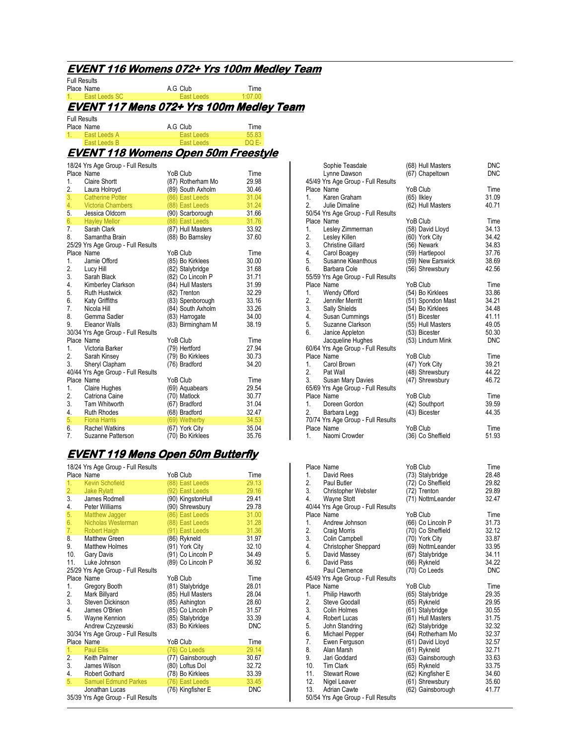### **EVENT116 Womens 072+ Yrs 100m Medley Team 116 Womens 072+ Yrs 100m Team**

Full Results

Place Name<br>
Place Name **A.G Club Time**<br>
1. East Leeds SC **East Leeds** 1:07.00 East Leeds SC **EVENT117 Mens 072+ Yrs 100m Medley Team 117 Mens 072+ Yrs 100m Medley**  Full Results Place Name **A.G Club** Time<br>1. East Leeds A **Bast Leeds** 55.83 1. East Leeds A East Leeds 55.83<br>
Fast Leeds B East Leeds DO F-East Leeds B East Leeds **EVENT118 Womens Open 50m Freestyle 118 Womens 50m**  18/24 Yrs Age Group - Full Results Place Name  $\begin{array}{ccc}\n\text{YoB Club} & \text{Time} \\
1. & \text{Claire Short} & \text{(87) Rotherham Mo} & 29.98\n\end{array}$ 1. Claire Shortt (87) Rotherham Mo 29.98  $(89)$  South Axholm  $(86)$  East Leeds  $(31.04)$ 3. Catherine Potter (86) East Leeds 31.04<br>4. Victoria Chambers (88) East Leeds 31.24 4. Victoria Chambers (88) East Leeds 31.24<br>5. Jessica Oldcom (90) Scarborough 31.66 Jessica Oldcom (90) Scarborough 31.66<br>
Hayley Mellor (88) East Leeds 31.76 6. Hayley Mellor (88) East Leeds 31.76<br>7. Sarah Clark (87) Hull Masters 33.92 Sarah Clark (87) Hull Masters 33.92<br>
Samantha Brain (88) Bo Barnsley 37.60 8. Samantha Brain (88) Bo Barnsley 25/29 Yrs Age Group - Full Results Place Name New York Club Place Name Name 1.<br>
1. Jamie Offord (85) Bo Kirklees 30.00 1. Jamie Offord (85) Bo Kirklees 30.00<br>2. Lucy Hill (82) Stalybridge 31.68 2. Lucy Hill (82) Stalybridge 31.68 3. Sarah Black (82) Co Lincoln P 31.71<br>4. Kimberley Clarkson (84) Hull Masters 31.99 4. Kimberley Clarkson (84) Hull Masters 31.99<br>5. Ruth Hustwick (82) Trenton 32.29 5. Ruth Hustwick (82) Trenton 32.29<br>6. Katy Griffiths (83) Spenborough 33.16 Katy Griffiths (83) Spenborough 33.16<br>Nicola Hill (84) South Axholm 33.26 7. Nicola Hill (84) South Axholm 33.26<br>8. Gemma Sadler (83) Harrogate 34.00 8. Gemma Sadler (83) Harrogate 34.00<br>19. Eleanor Walls (83) Birmingham M 38.19  $(83)$  Birmingham M 30/34 Yrs Age Group - Full Results Place Name **Time** YoB Club Time<br>1. Victoria Barker (79) Hertford 27.94 1. Victoria Barker (79) Hertford 27.94<br>2. Sarah Kinsey (79) Bo Kirklees 30.73 2. Sarah Kinsey (79) Bo Kirklees 30.73 Sheryl Clapham 40/44 Yrs Age Group - Full Results Place Name **Time YoB Club** Time<br>1. Claire Hughes (69) Aquabears 29.54 1. Claire Hughes (69) Aquabears 29.54<br>2 Catriona Caine (70) Matlock 30.77 2. Catriona Caine (70) Matlock 30.77 3. Tam Whitworth (67) Bradford 31.04<br>4. Ruth Rhodes (68) Bradford 32.47  $(68)$  Bradford 32.47<br> $(69)$  Wetherby 34.53 5. Fiona Harris (69) Wetherby 34.53<br>6. Rachel Watkins (67) York City 35.04 (67) York City<br>(70) Bo Kirklees 7. Suzanne Patterson (70) Bo Kirklees 35.76

### **EVENT119 Mens Open 50m Butterfly 119 Mens 50m Butterfly**

|     | 18/24 Yrs Age Group - Full Results                   |                   |            |
|-----|------------------------------------------------------|-------------------|------------|
|     | Place Name                                           | YoB Club          | Time       |
| 1.  | <b>Kevin Schofield</b>                               | (88) East Leeds   | 29.13      |
| 2.  | <b>Jake Rylatt</b>                                   | (92) East Leeds   | 29.16      |
| 3.  | James Rodmell                                        | (90) KingstonHull | 29.41      |
| 4.  | Peter Williams                                       | (90) Shrewsbury   | 29.78      |
| 5.  | Matthew Jagger                                       | (86) East Leeds   | 31.00      |
| 6.  | Nicholas Westerman                                   | (88) East Leeds   | 31.28      |
| 7.  | Robert Haigh                                         | (91) East Leeds   | 31.36      |
| 8.  | Matthew Green                                        | (86) Rykneld      | 31.97      |
| 9.  | <b>Matthew Holmes</b>                                | (91) York City    | 32.10      |
| 10. | Gary Davis                                           | (91) Co Lincoln P | 34.49      |
| 11. | Luke Johnson                                         | (89) Co Lincoln P | 36.92      |
|     | 25/29 Yrs Age Group - Full Results                   |                   |            |
|     | Place Name                                           | YoB Club          | Time       |
| 1.  | Gregory Booth                                        | (81) Stalybridge  | 28.01      |
| 2.  | Mark Billyard                                        | (85) Hull Masters | 28.04      |
| 3.  | Steven Dickinson                                     | (85) Ashington    | 28.60      |
| 4.  | James O'Brien                                        | (85) Co Lincoln P | 31.57      |
| 5.  | Wayne Kennion                                        | (85) Stalybridge  | 33.39      |
|     | Andrew Czyzewski                                     | (83) Bo Kirklees  | <b>DNC</b> |
|     | 30/34 Yrs Age Group - Full Results                   |                   |            |
|     | Place Name                                           | YoB Club          | Time       |
| 1.  | <b>Paul Ellis</b>                                    | (76) Co Leeds     | 29.14      |
| 2.  | Keith Palmer                                         | (77) Gainsborough | 30.67      |
| 3.  | James Wilson                                         | (80) Loftus Dol   | 32.72      |
| 4.  | <b>Robert Gothard</b>                                | (78) Bo Kirklees  | 33.39      |
| 5.  | <b>Samuel Edmund Parkes</b>                          | (76) East Leeds   | 33.45      |
|     | Jonathan Lucas<br>35/39 Yrs Age Group - Full Results | (76) Kingfisher E | <b>DNC</b> |

| Sophie Teasdale<br>Lynne Dawson                              | (68) Hull Masters<br>(67) Chapeltown | <b>DNC</b><br><b>DNC</b> |
|--------------------------------------------------------------|--------------------------------------|--------------------------|
| 45/49 Yrs Age Group - Full Results                           |                                      |                          |
| Place Name                                                   | YoB Club                             | Time                     |
| 1.<br>Karen Graham                                           | $(65)$ likley                        | 31.09                    |
| 2. Julie Dimaline                                            | (62) Hull Masters                    | 40.71                    |
| 50/54 Yrs Age Group - Full Results                           |                                      |                          |
| Place Name                                                   | YoB Club                             | Time                     |
| 1. Lesley Zimmerman                                          | (58) David Lloyd                     | 34.13                    |
| 2.<br>Lesley Killen                                          | (60) York City                       | 34.42                    |
| <b>Christine Gillard</b>                                     | (56) Newark                          | 34.83                    |
| 2.<br>3. Christine Gilla.<br>4. Carol Boagey<br>Susanne Klea | (59) Hartlepool                      | 37.76                    |
| Susanne Kleanthous                                           | (59) New Earswick                    | 38.69                    |
| 6.<br>Barbara Cole                                           | (56) Shrewsbury                      | 42.56                    |
| 55/59 Yrs Age Group - Full Results                           |                                      |                          |
| Place Name                                                   | YoB Club                             | Time                     |
| 1.<br>Wendy Offord                                           | (54) Bo Kirklees                     | 33.86                    |
| 2.<br>Jennifer Merritt                                       | (51) Spondon Mast                    | 34.21                    |
|                                                              | (54) Bo Kirklees                     | 34.48                    |
| 3. Sally Shields<br>4. Susan Cummings<br>5. Susane Clarkson  | (51) Bicester                        | 41.11                    |
| 5.<br>Suzanne Clarkson                                       | (55) Hull Masters                    | 49.05                    |
| 6.<br>Janice Appleton                                        | (53) Bicester                        | 50.30                    |
| Jacqueline Hughes                                            | (53) Lindum Mink                     | <b>DNC</b>               |
| 60/64 Yrs Age Group - Full Results                           |                                      |                          |
| Place Name                                                   | YoB Club                             | Time                     |
| 1. Carol Brown                                               | (47) York City                       | 39.21                    |
|                                                              | (48) Shrewsbury                      | 44.22                    |
| 2. Pat Wall<br>3. Susan Mary Davies                          | (47) Shrewsbury                      | 46.72                    |
| 65/69 Yrs Age Group - Full Results                           |                                      |                          |
| Place Name                                                   | YoB Club                             | Time                     |
| 1.<br>Doreen Gordon                                          | (42) Southport                       | 39.59                    |
| 2.<br>Barbara Legg                                           | (43) Bicester                        | 44.35                    |
| 70/74 Yrs Age Group - Full Results                           |                                      |                          |
| Place Name                                                   | YoB Club                             | Time                     |
| 1.<br>Naomi Crowder                                          | (36) Co Sheffield                    | 51.93                    |

|                | Place Name                         | YoB Club          | Time       |
|----------------|------------------------------------|-------------------|------------|
| 1.             | David Rees                         | (73) Stalybridge  | 28.48      |
|                | 2. Paul Butler                     | (72) Co Sheffield | 29.82      |
|                |                                    | (72) Trenton      | 29.89      |
| 4.             | 3. Christopher Webster             |                   | 32.47      |
|                | Wayne Stott                        | (71) NottmLeander |            |
|                | 40/44 Yrs Age Group - Full Results |                   |            |
|                | Place Name                         | YoB Club          | Time       |
| 1.             | Andrew Johnson                     | (66) Co Lincoln P | 31.73      |
| 2.             | Craig Morris                       | (70) Co Sheffield | 32.12      |
| 3.             | Colin Campbell                     | (70) York City    | 33.87      |
| 4.             | Christopher Sheppard               | (69) NottmLeander | 33.95      |
| 5.             | David Massey                       | (67) Stalybridge  | 34.11      |
| 6.             | David Pass                         | (66) Rykneld      | 34.22      |
|                | Paul Clemence                      | (70) Co Leeds     | <b>DNC</b> |
|                | 45/49 Yrs Age Group - Full Results |                   |            |
|                | Place Name                         | YoB Club          | Time       |
| 1.             | Philip Haworth                     | (65) Stalybridge  | 29.35      |
| 2.             | Steve Goodall                      | (65) Rykneld      | 29.95      |
| 3.             | Colin Holmes                       | (61) Stalybridge  | 30.55      |
| 4.             | Robert Lucas                       | (61) Hull Masters | 31.75      |
| 5.             | John Standring                     | (62) Stalybridge  | 32.32      |
| 6.             | Michael Pepper                     | (64) Rotherham Mo | 32.37      |
| 7 <sub>1</sub> | Ewen Ferguson                      | (61) David Lloyd  | 32.57      |
| 8.             | Alan Marsh                         | (61) Rykneld      | 32.71      |
| 9.             | Jari Goddard                       | (63) Gainsborough | 33.63      |
|                | 10. Tim Clark                      |                   | 33.75      |
|                |                                    | (65) Rykneld      |            |
|                | 11. Stewart Rowe                   | (62) Kingfisher E | 34.60      |
|                | 12. Nigel Leaver                   | (61) Shrewsbury   | 35.60      |
| 13.            | <b>Adrian Cawte</b>                | (62) Gainsborough | 41.77      |
|                | 50/54 Yrs Age Group - Full Results |                   |            |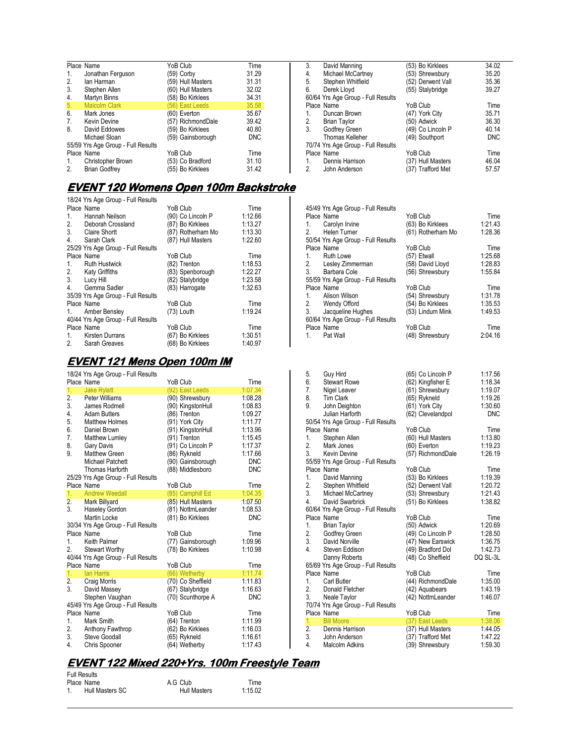|                | Place Name                         | YoB Club          | Time       |
|----------------|------------------------------------|-------------------|------------|
| 1.             | Jonathan Ferguson                  | (59) Corby        | 31.29      |
| 2.             | lan Harman                         | (59) Hull Masters | 31.31      |
| 3.             | Stephen Allen                      | (60) Hull Masters | 32.02      |
| 4.             | Martyn Binns                       | (58) Bo Kirklees  | 34.31      |
| 5.             | <b>Malcolm Clark</b>               | (56) East Leeds   | 35.58      |
| 6.             | Mark Jones                         | (60) Everton      | 35.67      |
| 7 <sub>1</sub> | Kevin Devine                       | (57) RichmondDale | 39.42      |
| 8.             | David Eddowes                      | (59) Bo Kirklees  | 40.80      |
|                | Michael Sloan                      | (59) Gainsborough | <b>DNC</b> |
|                | 55/59 Yrs Age Group - Full Results |                   |            |
|                | Place Name                         | YoB Club          | Time       |
| 1.             | Christopher Brown                  | (53) Co Bradford  | 31.10      |
| 2.             | <b>Brian Godfrey</b>               | (55) Bo Kirklees  | 31.42      |

#### <u>EVENT 120 Womens Open 100m Backstroke</u>

18/24 Yrs Age Group - Full Results Place Name **Time** YoB Club Time Time<br>1. Hannah Neilson (90) Co Lincoln P 1:12.66 1. Hannah Neilson (90) Co Lincoln P 1:12.66<br>2. Deborah Crossland (87) Bo Kirklees 1:13.27 2. Deborah Crossland (87) Bo Kirklees 1:13.27<br>3. Claire Shortt (87) Rotherham Mo 1:13.30 Claire Shortt (87) Rotherham Mo 1:13.30<br>
Sarah Clark (87) Hull Masters 1:22.60 4. Sarah Clark  $(87)$  Hull Masters 25/29 Yrs Age Group - Full Results Place Name **Time** YoB Club Time<br>1. Ruth Hustwick (82) Trenton 1:18.53 Pouth Hustwick (82) Trenton 1:18.53<br>
1:22.27 Katy Griffiths (83) Spenborough 1:22.27 2. Katy Griffiths (83) Spenborough 1:22.27 3. Lucy Hill (82) Stalybridge 1:23.58 4. Gemma Sadler (83) Harrogate 1:32.63 35/39 Yrs Age Group - Full Results Place Name  $Y$ oB Club Time Time<br>1. Amber Bensley (73) Louth 1:19.24 1. Amber Bensley 40/44 Yrs Age Group - Full Results Place Name  $Y$ OB Club Time Time<br>1. Kirsten Durrans (67) Bo Kirklees 1:30.51 1. Kirsten Durrans (67) Bo Kirklees 1:30.51<br>2. Sarah Greaves (68) Bo Kirklees 1:40.97  $(68)$  Bo Kirklees

# **EVENT 121 Mens Open 100m IM**

|    | 18/24 Yrs Age Group - Full Results |                   |            |
|----|------------------------------------|-------------------|------------|
|    | Place Name                         | YoB Club          | Time       |
| 1. | <b>Jake Rylatt</b>                 | (92) East Leeds   | 1:07.34    |
| 2. | Peter Williams                     | (90) Shrewsbury   | 1:08.28    |
| 3. | James Rodmell                      | (90) KingstonHull | 1:08.83    |
| 4. | <b>Adam Butters</b>                | (86) Trenton      | 1:09.27    |
| 5. | <b>Matthew Holmes</b>              | (91) York City    | 1:11.77    |
| 6. | Daniel Brown                       | (91) KingstonHull | 1:13.96    |
| 7. | Matthew Lumley                     | (91) Trenton      | 1:15.45    |
| 8. | Gary Davis                         | (91) Co Lincoln P | 1:17.37    |
| 9. | <b>Matthew Green</b>               | (86) Rykneld      | 1:17.66    |
|    | Michael Patchett                   | (90) Gainsborough | <b>DNC</b> |
|    | Thomas Harforth                    | (88) Middlesboro  | <b>DNC</b> |
|    | 25/29 Yrs Age Group - Full Results |                   |            |
|    | Place Name                         | YoB Club          | Time       |
| 1. | <b>Andrew Weedall</b>              | (85) Camphill Ed  | 1:04.35    |
| 2. | Mark Billyard                      | (85) Hull Masters | 1:07.50    |
| 3. | Haseley Gordon                     | (81) NottmLeander | 1:08.53    |
|    | <b>Martin Locke</b>                | (81) Bo Kirklees  | <b>DNC</b> |
|    | 30/34 Yrs Age Group - Full Results |                   |            |
|    | Place Name                         | YoB Club          | Time       |
| 1. | Keith Palmer                       | (77) Gainsborough | 1:09.96    |
| 2. | <b>Stewart Worthy</b>              | (78) Bo Kirklees  | 1:10.98    |
|    | 40/44 Yrs Age Group - Full Results |                   |            |
|    | Place Name                         | YoB Club          | Time       |
| 1. | <b>lan Harris</b>                  | (66) Wetherby     | 1:11.74    |
| 2. | Craig Morris                       | (70) Co Sheffield | 1:11.83    |
| 3. | David Massey                       | (67) Stalybridge  | 1:16.63    |
|    | Stephen Vaughan                    | (70) Scunthorpe A | <b>DNC</b> |
|    | 45/49 Yrs Age Group - Full Results |                   |            |
|    | Place Name                         | YoB Club          | Time       |
| 1. | Mark Smith                         | (64) Trenton      | 1:11.99    |
| 2. | Anthony Fawthrop                   | (62) Bo Kirklees  | 1:16.03    |
| 3. | Steve Goodall                      | (65) Rykneld      | 1:16.61    |
| 4. | Chris Spooner                      | (64) Wetherby     | 1:17.43    |

# **EVENT122 Mixed 220+Yrs. 100m Freestyle Team 122 Mixed 100m Freestyle**

| <b>Full Results</b> |                 |                     |         |
|---------------------|-----------------|---------------------|---------|
|                     | Place Name      | A.G Club            | Time    |
|                     | Hull Masters SC | <b>Hull Masters</b> | 1:15.02 |

| 3. | David Manning                      | (53) Bo Kirklees  | 34.02      |
|----|------------------------------------|-------------------|------------|
| 4. | Michael McCartney                  | (53) Shrewsbury   | 35.20      |
| 5. | Stephen Whitfield                  | (52) Derwent Vall | 35.36      |
| 6. | Derek Lloyd                        | (55) Stalybridge  | 39.27      |
|    | 60/64 Yrs Age Group - Full Results |                   |            |
|    | Place Name                         | YoB Club          | Time       |
| 1. | Duncan Brown                       | (47) York City    | 35.71      |
| 2. | <b>Brian Taylor</b>                | (50) Adwick       | 36.30      |
| 3. | Godfrey Green                      | (49) Co Lincoln P | 40.14      |
|    | Thomas Kelleher                    | (49) Southport    | <b>DNC</b> |
|    | 70/74 Yrs Age Group - Full Results |                   |            |
|    | Place Name                         | YoB Club          | Time       |
| 1. | Dennis Harrison                    | (37) Hull Masters | 46.04      |
| 2. | John Anderson                      | (37) Trafford Met | 57.57      |

| 45/49 Yrs Age Group - Full Results |                   |         |
|------------------------------------|-------------------|---------|
| Place Name                         | YoB Club          | Time    |
| 1. Carolyn Irvine                  | (63) Bo Kirklees  | 1:21.43 |
| 2. Helen Turner                    | (61) Rotherham Mo | 1:28.36 |
| 50/54 Yrs Age Group - Full Results |                   |         |
| Place Name                         | YoB Club          | Time    |
| 1. Ruth Lowe                       | (57) Etwall       | 1:25.68 |
| 2. Lesley Zimmerman                | (58) David Lloyd  | 1:28.83 |
| 3. Barbara Cole                    | (56) Shrewsbury   | 1:55.84 |
| 55/59 Yrs Age Group - Full Results |                   |         |
| Place Name                         | YoB Club          | Time    |
| 1. Alison Wilson                   | (54) Shrewsbury   | 1:31.78 |
| 2. Wendy Offord                    | (54) Bo Kirklees  | 1:35.53 |
| 3. Jacqueline Hughes               | (53) Lindum Mink  | 1:49.53 |
| 60/64 Yrs Age Group - Full Results |                   |         |
| Place Name                         | YoB Club          | Time    |
| Pat Wall<br>1.                     | (48) Shrewsbury   | 2:04.16 |
|                                    |                   |         |

| 5.             | Guy Hird                           | (65) Co Lincoln P | 1:17.56    |
|----------------|------------------------------------|-------------------|------------|
| 6.             | <b>Stewart Rowe</b>                | (62) Kingfisher E | 1:18.34    |
| 7.             | Nigel Leaver                       | (61) Shrewsbury   | 1:19.07    |
| 8.             | <b>Tim Clark</b>                   | (65) Rykneld      | 1:19.26    |
| 9.             | John Deighton                      | (61) York City    | 1:30.60    |
|                | Julian Harforth                    | (62) Clevelandpol | <b>DNC</b> |
|                | 50/54 Yrs Age Group - Full Results |                   |            |
|                | Place Name                         | YoB Club          | Time       |
| 1.             | Stephen Allen                      | (60) Hull Masters | 1:13.80    |
| 2.             | Mark Jones                         | (60) Everton      | 1:19.23    |
| 3 <sub>1</sub> | <b>Kevin Devine</b>                | (57) RichmondDale | 1:26.19    |
|                | 55/59 Yrs Age Group - Full Results |                   |            |
|                | Place Name                         | YoB Club          | Time       |
| 1.             | David Manning                      | (53) Bo Kirklees  | 1:19.39    |
| 2.             | Stephen Whitfield                  | (52) Derwent Vall | 1:20.72    |
| 3.             | Michael McCartney                  | (53) Shrewsbury   | 1:21.43    |
| 4.             | David Swarbrick                    | (51) Bo Kirklees  | 1:38.82    |
|                | 60/64 Yrs Age Group - Full Results |                   |            |
|                | Place Name                         | YoB Club          | Time       |
| 1.             | <b>Brian Taylor</b>                | (50) Adwick       | 1:20.69    |
| 2.             | Godfrey Green                      | (49) Co Lincoln P | 1:28.50    |
|                | 3. David Norville                  | (47) New Earswick | 1:36.75    |
| 4.             | Steven Eddison                     | (49) Bradford Dol | 1:42.73    |
|                | Danny Roberts                      | (48) Co Sheffield | DQ SL-3L   |
|                | 65/69 Yrs Age Group - Full Results |                   |            |
|                | Place Name                         | YoB Club          | Time       |
| 1 <sup>1</sup> | <b>Carl Butler</b>                 | (44) RichmondDale | 1:35.00    |
| 2.             | Donald Fletcher                    | (42) Aquabears    | 1:43.19    |
| 3.             | Neale Taylor                       | (42) NottmLeander | 1:46.07    |
|                | 70/74 Yrs Age Group - Full Results |                   |            |
|                | Place Name                         | YoB Club          | Time       |
| 1.             | <b>Bill Moore</b>                  | (37) East Leeds   | 1:38.06    |
| 2.             | Dennis Harrison                    | (37) Hull Masters | 1:44.05    |
| 3.             | John Anderson                      | (37) Trafford Met | 1:47.22    |
| 4.             | <b>Malcolm Adkins</b>              | (39) Shrewsbury   | 1:59.30    |
|                |                                    |                   |            |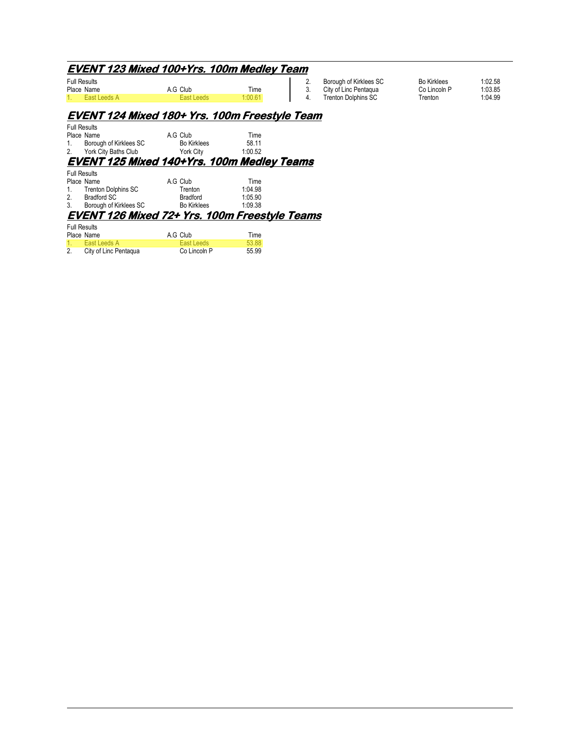# **EVENT123 Mixed 100+Yrs. 100m Medley Team 123 Mixed 100+Yrs. 100m Medley Team**

| <b>Full Results</b> |              |            |        |  |  |
|---------------------|--------------|------------|--------|--|--|
|                     | Place Name   | A.G Club   | Time   |  |  |
|                     | Fast Leeds A | Fast Leeds | 1:0061 |  |  |

| 2. | Borough of Kirklees SC | <b>Bo Kirklees</b> | 1:02.58 |
|----|------------------------|--------------------|---------|
|    | City of Linc Pentagua  | Co Lincoln P       | 1:03.85 |
|    | Trenton Dolphins SC    | Trenton            | 1:04.99 |

# **EVENT124 Mixed 180+ Yrs. 100m Freestyle Team 124 Mixed Yrs. 100m Freestyle Team**

| <b>Full Results</b> |                        |                    |         |  |  |
|---------------------|------------------------|--------------------|---------|--|--|
| Place Name          |                        | A.G Club           | Time    |  |  |
| 1.                  | Borough of Kirklees SC | <b>Bo Kirklees</b> | 58.11   |  |  |
| 2.                  | York City Baths Club   | York Citv          | 1:00.52 |  |  |
|                     |                        |                    |         |  |  |

# **EVENT125 Mixed 140+Yrs. 100m Medley Teams 125 Mixed 100m Medley Teams**

|         | <b>Full Results</b>        |                    |         |  |  |  |  |
|---------|----------------------------|--------------------|---------|--|--|--|--|
|         | Place Name                 | A.G Club           | Time    |  |  |  |  |
| $1_{1}$ | <b>Trenton Dolphins SC</b> | Trenton            | 1.0498  |  |  |  |  |
| 2.      | Bradford SC                | Bradford           | 1:05.90 |  |  |  |  |
| 3.      | Borough of Kirklees SC     | <b>Bo Kirklees</b> | 1:09.38 |  |  |  |  |
|         |                            |                    |         |  |  |  |  |

#### **EVENT126 Mixed 72+ Yrs. 100m Freestyle Teams 126 Mixed 72+ Yrs. 100m Freestyle Teams**  Full Results

|    | Place Name            | A.G Club     | Time  |  |  |  |
|----|-----------------------|--------------|-------|--|--|--|
|    | 1. East Leeds A       | East Leeds   | 53.88 |  |  |  |
| 2. | City of Linc Pentagua | Co Lincoln P | 55.99 |  |  |  |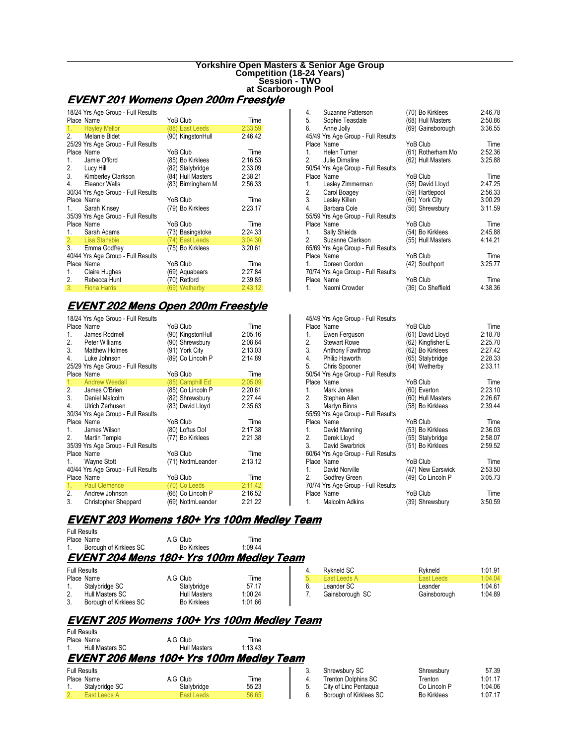#### **Yorkshire Open Masters & Senior Age Group Competition (18-24 Years) Session - TWO at Scarborough Pool**

# **EVENT201 Womens Open 200m Freestyle 201 Womens Open 200m Freestyle**

|    | 18/24 Yrs Age Group - Full Results |                   |         |
|----|------------------------------------|-------------------|---------|
|    | Place Name                         | YoB Club          | Time    |
| 1. | <b>Hayley Mellor</b>               | (88) East Leeds   | 2:33.59 |
|    | 2. Melanie Bidet                   | (90) KingstonHull | 2:46.42 |
|    | 25/29 Yrs Age Group - Full Results |                   |         |
|    | Place Name                         | YoB Club          | Time    |
|    | 1. Jamie Offord                    | (85) Bo Kirklees  | 2:16.53 |
|    | 2. Lucy Hill                       | (82) Stalybridge  | 2:33.09 |
|    | 3. Kimberley Clarkson              | (84) Hull Masters | 2:38.21 |
|    | 4. Eleanor Walls                   | (83) Birmingham M | 2:56.33 |
|    | 30/34 Yrs Age Group - Full Results |                   |         |
|    | Place Name                         | YoB Club          | Time    |
| 1. | Sarah Kinsey                       | (79) Bo Kirklees  | 2:23.17 |
|    | 35/39 Yrs Age Group - Full Results |                   |         |
|    | Place Name                         | YoB Club          | Time    |
|    | 1. Sarah Adams                     | (73) Basingstoke  | 2:24.33 |
|    | 2. Lisa Stansbie                   | (74) East Leeds   | 3:04.30 |
|    | 3. Emma Godfrey                    | (75) Bo Kirklees  | 3:20.61 |
|    | 40/44 Yrs Age Group - Full Results |                   |         |
|    | Place Name                         | YoB Club          | Time    |
| 1. | Claire Hughes                      | (69) Aquabears    | 2:27.84 |
|    | 2. Rebecca Hunt                    | (70) Retford      | 2:39.85 |
| 3. | <b>Fiona Harris</b>                | (69) Wetherby     | 2:43.12 |

# **EVENT202 Mens Open 200m Freestyle 202 Mens Open 200m Freestyle**

|    | 18/24 Yrs Age Group - Full Results |                   |         |
|----|------------------------------------|-------------------|---------|
|    | Place Name                         | YoB Club          | Time    |
| 1. | James Rodmell                      | (90) KingstonHull | 2:05.16 |
|    | 2. Peter Williams                  | (90) Shrewsbury   | 2:08.64 |
|    | 3. Matthew Holmes                  | (91) York City    | 2:13.03 |
| 4. | Luke Johnson                       | (89) Co Lincoln P | 2:14.89 |
|    | 25/29 Yrs Age Group - Full Results |                   |         |
|    | Place Name                         | YoB Club          | Time    |
| 1. | <b>Andrew Weedall</b>              | (85) Camphill Ed  | 2:05.09 |
|    | 2. James O'Brien                   | (85) Co Lincoln P | 2:20.61 |
|    | 3. Daniel Malcolm                  | (82) Shrewsbury   | 2:27.44 |
|    | 4. Ulrich Zerhusen                 | (83) David Lloyd  | 2:35.63 |
|    | 30/34 Yrs Age Group - Full Results |                   |         |
|    | Place Name                         | YoB Club          | Time    |
| 1. | James Wilson                       | (80) Loftus Dol   | 2:17.38 |
|    | 2. Martin Temple                   | (77) Bo Kirklees  | 2:21.38 |
|    | 35/39 Yrs Age Group - Full Results |                   |         |
|    | Place Name                         | YoB Club          | Time    |
| 1. | Wayne Stott                        | (71) NottmLeander | 2:13.12 |
|    | 40/44 Yrs Age Group - Full Results |                   |         |
|    | Place Name                         | YoB Club          | Time    |
|    | 1. Paul Clemence                   | (70) Co Leeds     | 2:11.42 |
|    | 2. Andrew Johnson                  | (66) Co Lincoln P | 2:16.52 |
| 3. | <b>Christopher Sheppard</b>        | (69) NottmLeander | 2:21.22 |

| 4. | Suzanne Patterson                  | (70) Bo Kirklees  | 2:46.78 |
|----|------------------------------------|-------------------|---------|
|    | 5. Sophie Teasdale                 | (68) Hull Masters | 2:50.86 |
| 6. | Anne Jolly                         | (69) Gainsborough | 3:36.55 |
|    | 45/49 Yrs Age Group - Full Results |                   |         |
|    | Place Name                         | YoB Club          | Time    |
| 1. | Helen Turner                       | (61) Rotherham Mo | 2:52.36 |
|    | 2. Julie Dimaline                  | (62) Hull Masters | 3:25.88 |
|    | 50/54 Yrs Age Group - Full Results |                   |         |
|    | Place Name                         | YoB Club          | Time    |
|    | 1. Lesley Zimmerman                | (58) David Lloyd  | 2:47.25 |
|    | 2. Carol Boagey                    | (59) Hartlepool   | 2:56.33 |
|    | 3. Lesley Killen                   | (60) York City    | 3:00.29 |
|    | 4. Barbara Cole                    | (56) Shrewsbury   | 3:11.59 |
|    | 55/59 Yrs Age Group - Full Results |                   |         |
|    | Place Name                         | YoB Club          | Time    |
| 1. | Sally Shields                      | (54) Bo Kirklees  | 2:45.88 |
|    | 2. Suzanne Clarkson                | (55) Hull Masters | 4:14.21 |
|    | 65/69 Yrs Age Group - Full Results |                   |         |
|    | Place Name                         | YoB Club          | Time    |
| 1  | Doreen Gordon                      | (42) Southport    | 3:25.77 |
|    | 70/74 Yrs Age Group - Full Results |                   |         |
|    | Place Name                         | YoB Club          | Time    |
|    | 1. Naomi Crowder                   | (36) Co Sheffield | 4:38.36 |

| YoB Club          | Time                                                                                                                                                                          |
|-------------------|-------------------------------------------------------------------------------------------------------------------------------------------------------------------------------|
| (61) David Lloyd  | 2:18.78                                                                                                                                                                       |
| (62) Kingfisher E | 2:25.70                                                                                                                                                                       |
| (62) Bo Kirklees  | 2:27.42                                                                                                                                                                       |
| (65) Stalybridge  | 2:28.33                                                                                                                                                                       |
| (64) Wetherby     | 2:33.11                                                                                                                                                                       |
|                   |                                                                                                                                                                               |
| YoB Club          | Time                                                                                                                                                                          |
| (60) Everton      | 2:23.10                                                                                                                                                                       |
| (60) Hull Masters | 2:26.67                                                                                                                                                                       |
|                   | 2:39.44                                                                                                                                                                       |
|                   |                                                                                                                                                                               |
|                   | Time                                                                                                                                                                          |
|                   | 2:36.03                                                                                                                                                                       |
|                   | 2:58.07                                                                                                                                                                       |
|                   | 2:59.52                                                                                                                                                                       |
|                   |                                                                                                                                                                               |
|                   | Time                                                                                                                                                                          |
|                   | 2:53.50                                                                                                                                                                       |
|                   | 3:05.73                                                                                                                                                                       |
|                   |                                                                                                                                                                               |
|                   | Time                                                                                                                                                                          |
|                   | 3:50.59                                                                                                                                                                       |
|                   | (58) Bo Kirklees<br>YoB Club<br>(53) Bo Kirklees<br>(55) Stalybridge<br>(51) Bo Kirklees<br>YoB Club<br>(47) New Earswick<br>(49) Co Lincoln P<br>YoB Club<br>(39) Shrewsbury |

# **EVENT203 Womens 180+ Yrs 100m Medley Team 203 Womens 180+ 100m Team**

| <b>Full Results</b>                      |                    |        |  |
|------------------------------------------|--------------------|--------|--|
| Place Name                               | A.G Club           | Time   |  |
| 1. Borough of Kirklees SC                | <b>Bo Kirklees</b> | 1.0944 |  |
| FVFNT 204 Mans 180+ Yrs 100m Madlay Taam |                    |        |  |

### **EVENT204 Mens 180+ Yrs 100m Medley Team 204 Mens**

| <b>Full Results</b> |                        |                     |         | Rykneld SC      | Rvkneld      | 1:01.91 |
|---------------------|------------------------|---------------------|---------|-----------------|--------------|---------|
|                     | Place Name             | A.G Club            | Time    | Fast Leeds A    | Fast Leeds   | 1:04.04 |
| . .                 | Stalvbridge SC         | Stalybridge         | 57.17   | Leander SC      | Leander      | 1:04.61 |
| <u></u>             | Hull Masters SC        | <b>Hull Masters</b> | 1:00.24 | Gainsborough SC | Gainsborough | 1:04.89 |
| J.                  | Borough of Kirklees SC | <b>Bo Kirklees</b>  | 1:01.66 |                 |              |         |

# **EVENT205 Womens 100+ Yrs 100m Medley Team 205 Womens 100+ Yrs 100m Team**

|                     |                    | <b>EVENT 206 Mens 100+ Yrs 100m Medley Team</b> |        |
|---------------------|--------------------|-------------------------------------------------|--------|
|                     | 1. Hull Masters SC | <b>Hull Masters</b>                             | 1.1343 |
|                     | Place Name         | A.G Club                                        | Time   |
| <b>Full Results</b> |                    |                                                 |        |

| <b>Full Results</b>            |                |             |       |  |  |
|--------------------------------|----------------|-------------|-------|--|--|
| Place Name<br>A.G Club<br>Time |                |             |       |  |  |
| 1.                             | Stalybridge SC | Stalvbridge | 55.23 |  |  |
| 2.                             | East Leeds A   | East Leeds  | 56.65 |  |  |

|    | Shrewsbury SC              | Shrewsbury         | 57.39   |
|----|----------------------------|--------------------|---------|
| 4. | <b>Trenton Dolphins SC</b> | Trenton            | 1:01.17 |
| 5. | City of Linc Pentagua      | Co Lincoln P       | 1:04.06 |
| 6. | Borough of Kirklees SC     | <b>Bo Kirklees</b> | 1:07.17 |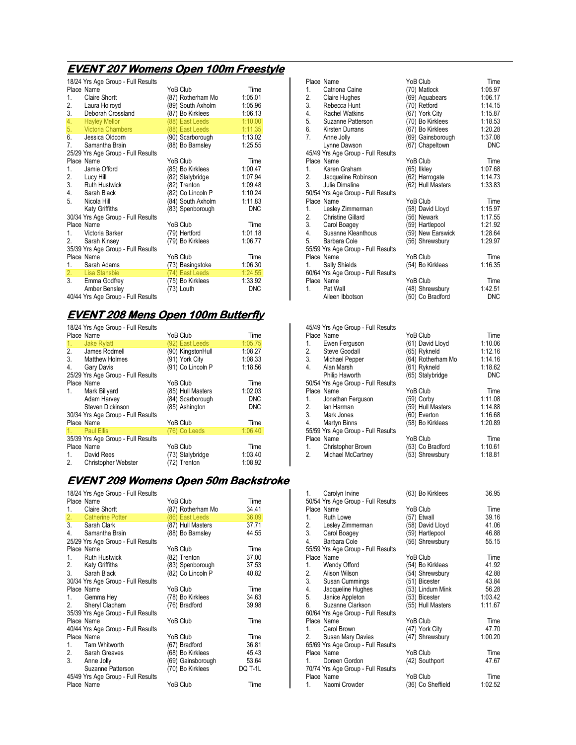# **EVENT207 Womens Open 100m Freestyle 207 Womens 100m Freestyle**

|                                | 18/24 Yrs Age Group - Full Results |                   |            |
|--------------------------------|------------------------------------|-------------------|------------|
| Place Name                     |                                    | YoB Club          | Time       |
| <b>Claire Shortt</b><br>1.     |                                    | (87) Rotherham Mo | 1:05.01    |
| 2.<br>Laura Holroyd            |                                    | (89) South Axholm | 1:05.96    |
| 3.<br>Deborah Crossland        |                                    | (87) Bo Kirklees  | 1:06.13    |
| 4.<br><b>Hayley Mellor</b>     |                                    | (88) East Leeds   | 1:10.00    |
| 5.<br><b>Victoria Chambers</b> |                                    | (88) East Leeds   | 1:11.35    |
| 6.<br>Jessica Oldcorn          |                                    | (90) Scarborough  | 1:13.02    |
| 7.<br>Samantha Brain           |                                    | (88) Bo Barnsley  | 1:25.55    |
|                                | 25/29 Yrs Age Group - Full Results |                   |            |
| Place Name                     |                                    | YoB Club          | Time       |
| $1_{\cdot}$<br>Jamie Offord    |                                    | (85) Bo Kirklees  | 1:00.47    |
| 2.<br>Lucy Hill                |                                    | (82) Stalybridge  | 1:07.94    |
| 3. Ruth Hustwick               |                                    | (82) Trenton      | 1:09.48    |
| 4.<br>Sarah Black              |                                    | (82) Co Lincoln P | 1:10.24    |
| 5.<br>Nicola Hill              |                                    | (84) South Axholm | 1:11.83    |
| Katy Griffiths                 |                                    | (83) Spenborough  | <b>DNC</b> |
|                                | 30/34 Yrs Age Group - Full Results |                   |            |
| Place Name                     |                                    | YoB Club          | Time       |
| Victoria Barker<br>1.          |                                    | (79) Hertford     | 1:01.18    |
| 2.<br>Sarah Kinsey             |                                    | (79) Bo Kirklees  | 1:06.77    |
|                                | 35/39 Yrs Age Group - Full Results |                   |            |
| Place Name                     |                                    | YoB Club          | Time       |
| 1 <sup>1</sup><br>Sarah Adams  |                                    | (73) Basingstoke  | 1:06.30    |
| 2.<br>Lisa Stansbie            |                                    | (74) East Leeds   | 1:24.55    |
| 3.<br>Emma Godfrey             |                                    | (75) Bo Kirklees  | 1:33.92    |
| Amber Bensley                  |                                    | (73) Louth        | <b>DNC</b> |
|                                | 40/44 Yrs Age Group - Full Results |                   |            |

### **EVENT208 Mens Open 100m Butterfly 208 Mens Open 100m Butterfly**

|                | 18/24 Yrs Age Group - Full Results |                   |            |
|----------------|------------------------------------|-------------------|------------|
|                | Place Name                         | YoB Club          | Time       |
| 1 <sub>1</sub> | <b>Jake Rylatt</b>                 | (92) East Leeds   | 1:05.75    |
|                | 2. James Rodmell                   | (90) KingstonHull | 1:08.27    |
| 3 <sub>1</sub> | <b>Matthew Holmes</b>              | (91) York City    | 1:08.33    |
| 4.             | Gary Davis                         | (91) Co Lincoln P | 1:18.56    |
|                | 25/29 Yrs Age Group - Full Results |                   |            |
|                | Place Name                         | YoB Club          | Time       |
| 1.             | Mark Billyard                      | (85) Hull Masters | 1:02.03    |
|                | Adam Harvey                        | (84) Scarborough  | <b>DNC</b> |
|                | Steven Dickinson                   | (85) Ashington    | <b>DNC</b> |
|                | 30/34 Yrs Age Group - Full Results |                   |            |
|                | Place Name                         | YoB Club          | Time       |
| 1.             | Paul Ellis                         | (76) Co Leeds     | 1:06.40    |
|                | 35/39 Yrs Age Group - Full Results |                   |            |
|                | Place Name                         | YoB Club          | Time       |
| 1.             | David Rees                         | (73) Stalybridge  | 1:03.40    |
| 2.             | Christopher Webster                | (72) Trenton      | 1:08.92    |

### **EVENT209 Womens 209 WomensOpen 50m Backstroke Open 50m**

|            | 18/24 Yrs Age Group - Full Results |                   |         |
|------------|------------------------------------|-------------------|---------|
| Place Name |                                    | YoB Club          | Time    |
| 1.         | Claire Shortt                      | (87) Rotherham Mo | 34.41   |
|            | 2. Catherine Potter                | (86) East Leeds   | 36.09   |
|            | 3. Sarah Clark                     | (87) Hull Masters | 37.71   |
|            | 4. Samantha Brain                  | (88) Bo Barnsley  | 44.55   |
|            | 25/29 Yrs Age Group - Full Results |                   |         |
| Place Name |                                    | YoB Club          | Time    |
| 1.         | <b>Ruth Hustwick</b>               | (82) Trenton      | 37.00   |
|            | 2. Katy Griffiths                  | (83) Spenborough  | 37.53   |
|            | 3. Sarah Black                     | (82) Co Lincoln P | 40.82   |
|            | 30/34 Yrs Age Group - Full Results |                   |         |
| Place Name |                                    | YoB Club          | Time    |
| 1.         | Gemma Hey                          | (78) Bo Kirklees  | 34.63   |
|            | 2. Sheryl Clapham                  | (76) Bradford     | 39.98   |
|            | 35/39 Yrs Age Group - Full Results |                   |         |
| Place Name |                                    | YoB Club          | Time    |
|            | 40/44 Yrs Age Group - Full Results |                   |         |
| Place Name |                                    | YoB Club          | Time    |
|            | 1. Tarn Whitworth                  | (67) Bradford     | 36.81   |
|            | 2. Sarah Greaves                   | (68) Bo Kirklees  | 45.43   |
|            | 3. Anne Jolly                      | (69) Gainsborough | 53.64   |
|            | Suzanne Patterson                  | (70) Bo Kirklees  | DQ T-1L |
|            | 45/49 Yrs Age Group - Full Results |                   |         |
| Place Name |                                    | YoB Club          | Time    |
|            |                                    |                   |         |
|            |                                    |                   |         |

|    | Place Name                         | YoB Club          | Time       |
|----|------------------------------------|-------------------|------------|
| 1. | Catriona Caine                     | (70) Matlock      | 1:05.97    |
| 2. | Claire Hughes                      | (69) Aquabears    | 1:06.17    |
| 3. | Rebecca Hunt                       | (70) Retford      | 1:14.15    |
| 4. | <b>Rachel Watkins</b>              | (67) York City    | 1:15.87    |
| 5. | Suzanne Patterson                  | (70) Bo Kirklees  | 1:18.53    |
| 6. | Kirsten Durrans                    | (67) Bo Kirklees  | 1:20.28    |
| 7. | Anne Jolly                         | (69) Gainsborough | 1:37.08    |
|    | Lynne Dawson                       | (67) Chapeltown   | <b>DNC</b> |
|    | 45/49 Yrs Age Group - Full Results |                   |            |
|    | Place Name                         | YoB Club          | Time       |
|    | 1. Karen Graham                    | $(65)$ likley     | 1:07.68    |
|    | 2. Jacqueline Robinson             | (62) Harrogate    | 1:14.73    |
|    | 3. Julie Dimaline                  | (62) Hull Masters | 1:33.83    |
|    | 50/54 Yrs Age Group - Full Results |                   |            |
|    | Place Name                         | YoB Club          | Time       |
|    | 1. Lesley Zimmerman                | (58) David Lloyd  | 1:15.97    |
|    | 2. Christine Gillard               | (56) Newark       | 1:17.55    |
|    | 3. Carol Boagey                    | (59) Hartlepool   | 1:21.92    |
|    | 4. Susanne Kleanthous              | (59) New Earswick | 1:28.64    |
|    | 5. Barbara Cole                    | (56) Shrewsbury   | 1:29.97    |
|    | 55/59 Yrs Age Group - Full Results |                   |            |
|    | Place Name                         | YoB Club          | Time       |
| 1. | Sally Shields                      | (54) Bo Kirklees  | 1:16.35    |
|    | 60/64 Yrs Age Group - Full Results |                   |            |
|    | Place Name                         | YoB Club          | Time       |
| 1  | Pat Wall                           | (48) Shrewsbury   | 1:42.51    |
|    | Aileen Ibbotson                    | (50) Co Bradford  | <b>DNC</b> |

| 45/49 Yrs Age Group - Full Results |                   |            |
|------------------------------------|-------------------|------------|
| Place Name                         | YoB Club          | Time       |
| Ewen Ferguson                      | (61) David Lloyd  | 1:10.06    |
| Steve Goodall                      | (65) Rykneld      | 1:12.16    |
| Michael Pepper                     | (64) Rotherham Mo | 1:14.16    |
| Alan Marsh                         | (61) Rykneld      | 1:18.62    |
| Philip Haworth                     | (65) Stalybridge  | <b>DNC</b> |
| 50/54 Yrs Age Group - Full Results |                   |            |
| Place Name                         | YoB Club          | Time       |
| Jonathan Ferguson                  | (59) Corby        | 1:11.08    |
| 2. Ian Harman                      | (59) Hull Masters | 1:14.88    |
| 3. Mark Jones                      | (60) Everton      | 1:16.68    |
| Martyn Binns                       | (58) Bo Kirklees  | 1:20.89    |
| 55/59 Yrs Age Group - Full Results |                   |            |
| Place Name                         | YoB Club          | Time       |
| 1. Christopher Brown               | (53) Co Bradford  | 1:10.61    |
| Michael McCartney                  | (53) Shrewsbury   | 1:18.81    |
|                                    |                   |            |

| 1. | Carolyn Irvine<br>50/54 Yrs Age Group - Full Results | (63) Bo Kirklees  | 36.95   |
|----|------------------------------------------------------|-------------------|---------|
|    | Place Name                                           | YoB Club          | Time    |
|    | 1. Ruth Lowe                                         | (57) Etwall       | 39.16   |
|    | 2. Lesley Zimmerman                                  | (58) David Lloyd  | 41.06   |
|    | 3. Carol Boagey                                      | (59) Hartlepool   | 46.88   |
|    | 4. Barbara Cole                                      | (56) Shrewsbury   | 55.15   |
|    | 55/59 Yrs Age Group - Full Results                   |                   |         |
|    | Place Name                                           | YoB Club          | Time    |
| 1. | Wendy Offord                                         | (54) Bo Kirklees  | 41.92   |
|    | 2. Alison Wilson                                     | (54) Shrewsbury   | 42.88   |
|    | 3. Susan Cummings                                    | (51) Bicester     | 43.84   |
|    | 4. Jacqueline Hughes                                 | (53) Lindum Mink  | 56.28   |
|    | 5. Janice Appleton                                   | (53) Bicester     | 1:03.42 |
| 6  | Suzanne Clarkson                                     | (55) Hull Masters | 1:11.67 |
|    | 60/64 Yrs Age Group - Full Results                   |                   |         |
|    | Place Name                                           | YoB Club          | Time    |
|    | 1. Carol Brown                                       | (47) York City    | 47.70   |
| 2. | Susan Mary Davies                                    | (47) Shrewsbury   | 1:00.20 |
|    | 65/69 Yrs Age Group - Full Results                   |                   |         |
|    | Place Name                                           | YoB Club          | Time    |
| 1  | Doreen Gordon                                        | (42) Southport    | 47.67   |
|    | 70/74 Yrs Age Group - Full Results                   |                   |         |
|    | Place Name                                           | YoB Club          | Time    |
|    | 1. Naomi Crowder                                     | (36) Co Sheffield | 1:02.52 |
|    |                                                      |                   |         |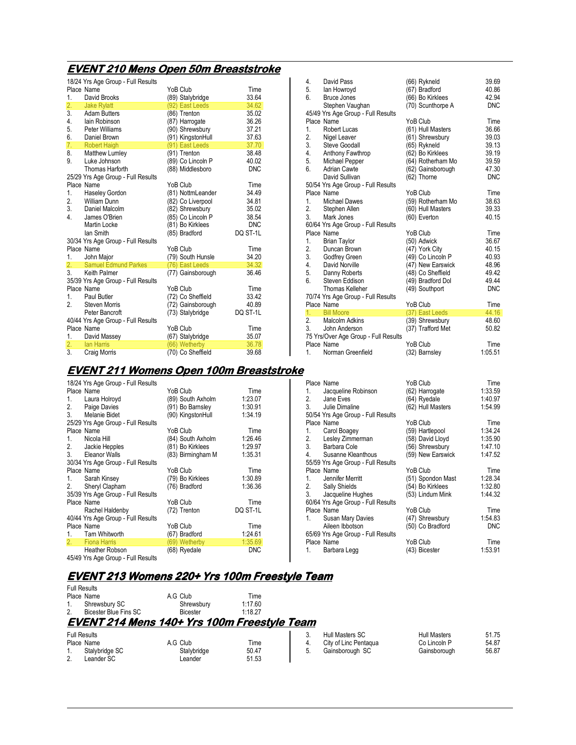### **EVENT210 Mens Open 50m Breaststroke 210 Mens 50m Breaststroke**

|                  | 18/24 Yrs Age Group - Full Results               |                                   |                |
|------------------|--------------------------------------------------|-----------------------------------|----------------|
|                  | Place Name                                       | YoB Club                          | Time           |
| 1.               | David Brooks                                     | (89) Stalybridge                  | 33.64          |
| $\overline{2}$ . | <b>Jake Rylatt</b>                               | (92) East Leeds                   | 34.62          |
| 3.               | <b>Adam Butters</b>                              | (86) Trenton                      | 35.02          |
| 4.               | lain Robinson                                    | (87) Harrogate                    | 36.26          |
| 5.               | Peter Williams                                   | (90) Shrewsbury                   | 37.21          |
| 6.               | Daniel Brown                                     | (91) KingstonHull                 | 37.63          |
| 7.               | <b>Robert Haigh</b>                              | (91) East Leeds                   | 37.70          |
| 8.               | Matthew Lumley                                   | (91) Trenton                      | 38.48          |
| 9.               | Luke Johnson                                     | (89) Co Lincoln P                 | 40.02          |
|                  | Thomas Harforth                                  | (88) Middlesboro                  | <b>DNC</b>     |
|                  | 25/29 Yrs Age Group - Full Results<br>Place Name | YoB Club                          | Time           |
| 1.               | Haseley Gordon                                   | (81) NottmLeander                 | 34.49          |
| 2.               | William Dunn                                     | (82) Co Liverpool                 | 34.81          |
| 3.               | Daniel Malcolm                                   | (82) Shrewsbury                   | 35.02          |
| 4.               | James O'Brien                                    | (85) Co Lincoln P                 | 38.54          |
|                  | Martin Locke                                     | (81) Bo Kirklees                  | <b>DNC</b>     |
|                  | lan Smith                                        | (85) Bradford                     | DQ ST-1L       |
|                  | 30/34 Yrs Age Group - Full Results               |                                   |                |
|                  | Place Name                                       | YoB Club                          | Time           |
| 1.               | John Major                                       | (79) South Hunsle                 | 34.20          |
| 2.               | <b>Samuel Edmund Parkes</b>                      | (76) East Leeds                   | 34.32          |
|                  | 3. Keith Palmer                                  | (77) Gainsborough                 | 36.46          |
|                  | 35/39 Yrs Age Group - Full Results               |                                   |                |
|                  | Place Name                                       | YoB Club                          | Time           |
| 1 <sup>1</sup>   | Paul Butler                                      | (72) Co Sheffield                 | 33.42          |
| 2.               | <b>Steven Morris</b>                             | (72) Gainsborough                 | 40.89          |
|                  | Peter Bancroft                                   | (73) Stalybridge                  | DQ ST-1L       |
|                  | 40/44 Yrs Age Group - Full Results               |                                   |                |
| 1.               | Place Name                                       | YoB Club                          | Time           |
| $\overline{2}$ . | David Massey<br>lan Harris                       | (67) Stalybridge<br>(66) Wetherby | 35.07<br>36.78 |
| 3.               | Craig Morris                                     | (70) Co Sheffield                 | 39.68          |

#### 4. David Pass (66) Rykneld 39.69 5. Ian Howroyd (67) Bradford 40.86<br>6. Bruce Jones (66) Bo Kirklees 42.94 Bruce Jones (66) Bo Kirklees 42.94<br>
Stephen Vaughan (70) Scunthorpe A DNC  $(70)$  Scunthorpe A 45/49 Yrs Age Group - Full Results Place Name  $\begin{array}{ccc}\n\text{Place Name} & \text{YoB Club} & \text{Time} \\
1. & \text{Robert Lucas} & (61) Hull Masters & 36.66\n\end{array}$ 1. Robert Lucas (61) Hull Masters 36.66<br>2. Nigel Leaver (61) Shrewsbury 39.03 2. Nigel Leaver (61) Shrewsbury 39.03 3. Steve Goodall (65) Rykneld 39.13 4. Anthony Fawthrop (62) Bo Kirklees 39.19<br>5. Michael Pepper (64) Rotherham Mo 39.59 5. Michael Pepper (64) Rotherham Mo 39.59  $\overline{62}$  Gainsborough 47.30<br> $\overline{62}$  Thorne DNC David Sullivan  $(62)$  Thorne 50/54 Yrs Age Group - Full Results Place Name **Time Property** YoB Club Time **Time**<br>1. Michael Dawes (59) Rotherham Mo 38.63 1. Michael Dawes (59) Rotherham Mo 38.63<br>2. Stephen Allen (60) Hull Masters 39.33 2. Stephen Allen (60) Hull Masters 39.33<br>3. Mark Jones (60) Everton 40.15 3. Mark Jones (60) Everton 40.15 60/64 Yrs Age Group - Full Results Place Name  $Y$ oB Club Time Time<br>1. Brian Taylor (50) Adwick 36.67 1. Brian Taylor (50) Adwick 36.67 2. Duncan Brown (47) York City 40.15<br>
2. Godfrey Green (49) Co Lincoln P 40.93 3. Godfrey Green (49) Co Lincoln P 40.93<br>4. David Norville (47) New Earswick 48.96 4. David Norville (47) New Earswick 48.96<br>5. Danny Roberts (48) Co Sheffield 49.42 5. Danny Roberts (48) Co Sheffield 49.42<br>6. Steven Eddison (49) Bradford Dol 49.44 Steven Eddison (49) Bradford Dol 49.44<br>Thomas Kelleher (49) Southport DNC  $(49)$  Southport 70/74 Yrs Age Group - Full Results Place Name **YoB Club** Time<br>
1. Bill Moore (37) East Leeds 44.16 1. Bill Moore (37) East Leeds 44.16<br>2. Malcolm Adkins (39) Shrewsbury 48.60 2. Malcolm Adkins (39) Shrewsbury 48.60<br>3. John Anderson (37) Trafford Met 50.82  $(37)$  Trafford Met 75 Yrs/Over Age Group - Full Results Place Name YoB Club Time<br>
1. Norman Greenfield (32) Barnsley 1:05.51

Place Name Time The Club Time YoB Club Time Time Time Time YoB Club Time Time Time Time YoB Club Time Time Time<br>1.33.59 1.33.59 1. Jacqueline Robinson (62) Harrogate 1:33.59<br>2. Jane Eves (64) Ryedale 1:40.97 2. Jane Eves (64) Ryedale 1:40.97

Place Name  $\begin{array}{ccc}\n\text{Place Name} & \text{YoB Club} & \text{Time} \\
1. & \text{Carol Boage} & \text{(59) Hartlepool} & 1:34.24\n\end{array}$ 1. Carol Boagey (59) Hartlepool 1:34.24<br>1. Carol Boagey (58) David Lloyd 1:35.90 Lesley Zimmerman (58) David Lloyd 1:35.90<br>Barbara Cole (56) Shrewsbury 1:47.10 3. Barbara Cole (56) Shrewsbury 1:47.10

Place Name **YoB Club** Time 1. Jennifer Merritt (51) Spondon Mast 1:28.34<br>2. Sally Shields (54) Bo Kirklees 1:32.80 2. Sally Shields (54) Bo Kirklees 1:32.80

Place Name <br>1. Susan Mary Davies (47) Shrewsbury 1.54.83 1. Susan Mary Davies (47) Shrewsbury 1:54.83<br>Aileen Ibbotson (50) Co Bradford DNC

Place Name **Time** YoB Club Time<br>1. Barbara Legg (43) Bicester 1:53.91

(62) Hull Masters

 $(50)$  Co Bradford

(43) Bicester

Norman Greenfield

50/54 Yrs Age Group - Full Results

Susanne Kleanthous 55/59 Yrs Age Group - Full Results

Jacqueline Hughes 60/64 Yrs Age Group - Full Results

65/69 Yrs Age Group - Full Results

### **EVENT211 Womens Open 100m Breaststroke 211 Womens Open 100m Breaststroke**

|    | <u>LVLNT 211 Womens Open Toom Dread</u> |                   |            |
|----|-----------------------------------------|-------------------|------------|
|    | 18/24 Yrs Age Group - Full Results      |                   |            |
|    | Place Name                              | YoB Club          | Time       |
| 1. | Laura Holroyd                           | (89) South Axholm | 1:23.07    |
|    | 2. Paige Davies                         | (91) Bo Barnsley  | 1:30.91    |
|    | 3. Melanie Bidet                        | (90) KingstonHull | 1:34.19    |
|    | 25/29 Yrs Age Group - Full Results      |                   |            |
|    | Place Name                              | YoB Club          | Time       |
| 1. | Nicola Hill                             | (84) South Axholm | 1:26.46    |
|    | 2. Jackie Hepples                       | (81) Bo Kirklees  | 1:29.97    |
|    | 3. Eleanor Walls                        | (83) Birmingham M | 1:35.31    |
|    | 30/34 Yrs Age Group - Full Results      |                   |            |
|    | Place Name                              | YoB Club          | Time       |
|    | 1. Sarah Kinsey                         | (79) Bo Kirklees  | 1:30.89    |
|    | 2. Sheryl Clapham                       | (76) Bradford     | 1:36.36    |
|    | 35/39 Yrs Age Group - Full Results      |                   |            |
|    | Place Name                              | YoB Club          | Time       |
|    | Rachel Haldenby                         | (72) Trenton      | DQ ST-1L   |
|    | 40/44 Yrs Age Group - Full Results      |                   |            |
|    | Place Name                              | YoB Club          | Time       |
|    | 1. Tarn Whitworth                       | (67) Bradford     | 1:24.61    |
|    | 2. Fiona Harris                         | (69) Wetherby     | 1:35.69    |
|    | <b>Heather Robson</b>                   | (68) Ryedale      | <b>DNC</b> |

| . |                                    |  |  |  |
|---|------------------------------------|--|--|--|
|   | 45/49 Yrs Age Group - Full Results |  |  |  |

Full Results

Leander SC

# **EVENT213 Womens 213 Womens213 Womens220+ Yrs 100m Freestyle Team 220+ Yrs 100m Freestyle Team**

|                     | EVENT 214 Mens 140+ Yrs 100m Freestyle Team |                 |         |  |
|---------------------|---------------------------------------------|-----------------|---------|--|
| 2.                  | Bicester Blue Fins SC                       | <b>Bicester</b> | 1.1827  |  |
|                     | 1. Shrewsbury SC                            | Shrewsbury      | 1:17.60 |  |
| Place Name          |                                             | A.G Club        | Time    |  |
| <b>Full Results</b> |                                             |                 |         |  |

Place Name  $A.G Club$  Time Time  $A.G Club$  Time  $50.47$ 1. Stalybridge SC 61.47 Stalybridge 50.47<br>2. Leander SC 61.53

|  | Hull Masters SC       | <b>Hull Masters</b> | 51.75 |
|--|-----------------------|---------------------|-------|
|  | City of Linc Pentagua | Co Lincoln P        | 54.87 |
|  | Gainsborough SC       | Gainsborough        | 56.87 |
|  |                       |                     |       |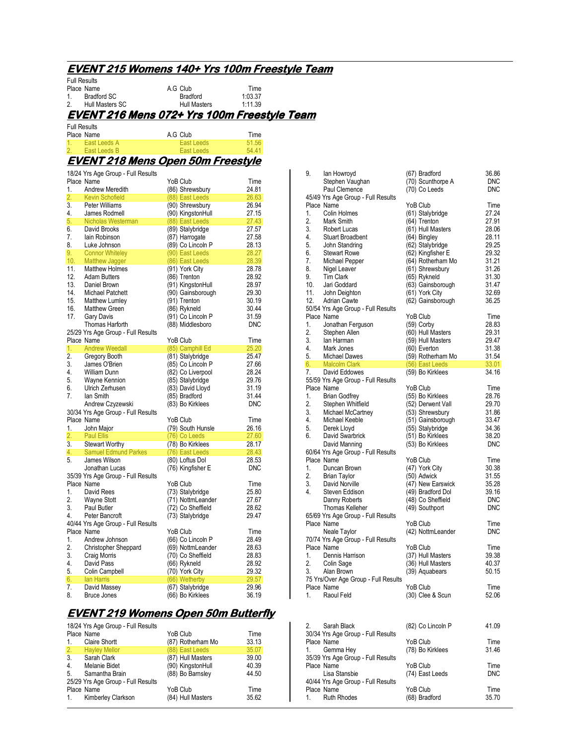### **EVENT215 Womens 140+ Yrs 100m Freestyle Team 215 Womens 140+ Yrs 100m Team**  Full Results

| 1.                  | Place Name<br><b>Bradford SC</b>                 | A.G Club<br><b>Bradford</b>            | Time<br>1:03.37 |                |
|---------------------|--------------------------------------------------|----------------------------------------|-----------------|----------------|
| 2.                  | Hull Masters SC                                  | <b>Hull Masters</b>                    | 1:11.39         |                |
|                     | EVENT 216 Mens 072+ Yrs 100m Freestyle Team      |                                        |                 |                |
| <b>Full Results</b> |                                                  |                                        |                 |                |
|                     | Place Name                                       | A.G Club                               | Time            |                |
| 1.<br>2.            | East Leeds A<br>East Leeds B                     | <b>East Leeds</b><br><b>East Leeds</b> | 51.56<br>54.41  |                |
|                     |                                                  |                                        |                 |                |
|                     | <u>EVENT 218 Mens Open 50m Freestyle</u>         |                                        |                 |                |
|                     | 18/24 Yrs Age Group - Full Results               | YoB Club                               |                 | 9.             |
| 1.                  | Place Name<br>Andrew Meredith                    | (86) Shrewsbury                        | Time<br>24.81   |                |
| 2.                  | <b>Kevin Schofield</b>                           | (88) East Leeds                        | 26.63           | 45/49          |
| 3.                  | Peter Williams                                   | (90) Shrewsbury                        | 26.94           | Place          |
| 4.                  | James Rodmell                                    | (90) KingstonHull                      | 27.15           | 1.             |
| 5.                  | Nicholas Westerman                               | (88) East Leeds                        | 27.43           | 2.             |
| 6.<br>7.            | David Brooks<br>lain Robinson                    | (89) Stalybridge<br>(87) Harrogate     | 27.57<br>27.58  | 3.<br>4.       |
| 8.                  | Luke Johnson                                     | (89) Co Lincoln P                      | 28.13           | 5.             |
| 9.                  | <b>Connor Whiteley</b>                           | (90) East Leeds                        | 28.27           | 6.             |
| 10.                 | Matthew Jagger                                   | (86) East Leeds                        | 28.39           | 7.             |
| 11.                 | <b>Matthew Holmes</b>                            | (91) York City                         | 28.78           | 8.             |
| 12.                 | <b>Adam Butters</b>                              | (86) Trenton                           | 28.92           | 9.             |
| 13.<br>14.          | Daniel Brown<br>Michael Patchett                 | (91) KingstonHull<br>(90) Gainsborough | 28.97<br>29.30  | 10.<br>11.     |
| 15.                 | Matthew Lumley                                   | (91) Trenton                           | 30.19           | 12.            |
| 16.                 | <b>Matthew Green</b>                             | (86) Rykneld                           | 30.44           | 50/54          |
| 17.                 | <b>Gary Davis</b>                                | (91) Co Lincoln P                      | 31.59           | Place          |
|                     | Thomas Harforth                                  | (88) Middlesboro                       | <b>DNC</b>      | 1.             |
|                     | 25/29 Yrs Age Group - Full Results<br>Place Name | YoB Club                               | Time            | 2.<br>3.       |
| 1.                  | <b>Andrew Weedall</b>                            | (85) Camphill Ed                       | 25.20           | 4.             |
| 2.                  | Gregory Booth                                    | (81) Stalybridge                       | 25.47           | 5.             |
| 3.                  | James O'Brien                                    | (85) Co Lincoln P                      | 27.66           | 6.             |
| 4.                  | William Dunn                                     | (82) Co Liverpool                      | 28.24           | 7.             |
| 5.<br>6.            | Wayne Kennion<br>Ulrich Zerhusen                 | (85) Stalybridge                       | 29.76<br>31.19  | 55/59<br>Place |
| 7.                  | lan Smith                                        | (83) David Lloyd<br>(85) Bradford      | 31.44           | 1.             |
|                     | Andrew Czyzewski                                 | (83) Bo Kirklees                       | <b>DNC</b>      | 2.             |
|                     | 30/34 Yrs Age Group - Full Results               |                                        |                 | 3.             |
|                     | Place Name                                       | YoB Club                               | Time            | 4.             |
| 1.                  | John Major                                       | (79) South Hunsle                      | 26.16           | 5.             |
| 2.<br>3.            | <b>Paul Ellis</b><br><b>Stewart Worthy</b>       | (76) Co Leeds<br>(78) Bo Kirklees      | 27.60<br>28.17  | 6.             |
| 4.                  | <b>Samuel Edmund Parkes</b>                      | (76) East Leeds                        | 28.43           | 60/64          |
| 5.                  | James Wilson                                     | (80) Loftus Dol                        | 28.53           | Place          |
|                     | Jonathan Lucas                                   | (76) Kingfisher E                      | <b>DNC</b>      | 1.             |
|                     | 35/39 Yrs Age Group - Full Results               |                                        |                 | 2.             |
| 1.                  | Place Name<br>David Rees                         | YoB Club                               | Time<br>25.80   | 3.<br>4.       |
| 2.                  | Wayne Stott                                      | (73) Stalybridge<br>(71) NottmLeander  | 27.67           |                |
| 3.                  | Paul Butler                                      | (72) Co Sheffield                      | 28.62           |                |
| 4.                  | Peter Bancroft                                   | (73) Stalybridge                       | 29.47           | 65/69          |
|                     | 40/44 Yrs Age Group - Full Results               |                                        |                 | Place          |
|                     | Place Name                                       | YoB Club                               | Time            |                |
| 1.<br>2.            | Andrew Johnson<br>Christopher Sheppard           | (66) Co Lincoln P<br>(69) NottmLeander | 28.49<br>28.63  | 70/74<br>Place |
| 3.                  | Craig Morris                                     | (70) Co Sheffield                      | 28.83           | 1.             |
| 4.                  | David Pass                                       | (66) Rykneld                           | 28.92           | 2.             |
| 5.                  | Colin Campbell                                   | (70) York City                         | 29.32           | 3.             |
| 6.                  | lan Harris                                       | (66) Wetherby                          | 29.57           | 75 Y           |
| 7.<br>8.            | David Massey<br><b>Bruce Jones</b>               | (67) Stalybridge<br>(66) Bo Kirklees   | 29.96<br>36.19  | Place<br>1.    |
|                     |                                                  |                                        |                 |                |

# **EVENT219 Womens Open 50m Butterfly 219 Womens Open 50m Butterfly**

| 18/24 Yrs Age Group - Full Results |                                    |                   |       |  |  |
|------------------------------------|------------------------------------|-------------------|-------|--|--|
|                                    | Place Name                         | YoB Club          | Time  |  |  |
| 1.                                 | <b>Claire Shortt</b>               | (87) Rotherham Mo | 33.13 |  |  |
| 2.                                 | <b>Hayley Mellor</b>               | (88) East Leeds   | 35.07 |  |  |
| 3.                                 | Sarah Clark                        | (87) Hull Masters | 39.00 |  |  |
| 4.                                 | Melanie Bidet                      | (90) KingstonHull | 40.39 |  |  |
| -5.                                | Samantha Brain                     | (88) Bo Barnsley  | 44.50 |  |  |
|                                    | 25/29 Yrs Age Group - Full Results |                   |       |  |  |
|                                    | Place Name                         | YoB Club          | Time  |  |  |
|                                    | 1. Kimberley Clarkson              | (84) Hull Masters | 35.62 |  |  |

| 9.                   | lan Howroyd                                               | (67) Bradford                         | 36.86                    |
|----------------------|-----------------------------------------------------------|---------------------------------------|--------------------------|
|                      | Stephen Vaughan<br>Paul Clemence                          | (70) Scunthorpe A<br>(70) Co Leeds    | <b>DNC</b><br><b>DNC</b> |
|                      | 45/49 Yrs Age Group - Full Results                        |                                       |                          |
|                      | Place Name                                                | YoB Club                              | Time                     |
| 1.                   | Colin Holmes                                              | (61) Stalybridge                      | 27.24                    |
| 2.                   | Mark Smith                                                | (64) Trenton                          | 27.91                    |
| 3.                   | Robert Lucas                                              | (61) Hull Masters                     | 28.06                    |
| 4.                   | <b>Stuart Broadbent</b>                                   | (64) Bingley                          | 28.11                    |
| 5.                   | John Standring                                            | (62) Stalybridge                      | 29.25                    |
| 6.                   | <b>Stewart Rowe</b>                                       | (62) Kingfisher E                     | 29.32                    |
| 7.                   | Michael Pepper                                            | (64) Rotherham Mo                     | 31.21                    |
| 8.                   | Nigel Leaver                                              | (61) Shrewsbury                       | 31.26                    |
| 9.                   | <b>Tim Clark</b>                                          | (65) Rykneld                          | 31.30                    |
| 10 <sub>1</sub>      | Jari Goddard                                              | (63) Gainsborough                     | 31.47                    |
| 12.                  | 11. John Deighton                                         | (61) York City                        | 32.69<br>36.25           |
|                      | <b>Adrian Cawte</b><br>50/54 Yrs Age Group - Full Results | (62) Gainsborough                     |                          |
|                      | Place Name                                                | YoB Club                              | Time                     |
| 1.                   | Jonathan Ferguson                                         | (59) Corby                            | 28.83                    |
| 2.                   | Stephen Allen                                             | (60) Hull Masters                     | 29.31                    |
| 3.                   | lan Harman                                                | (59) Hull Masters                     | 29.47                    |
| 4.                   | Mark Jones                                                | (60) Everton                          | 31.38                    |
|                      | 5. Michael Dawes                                          | (59) Rotherham Mo                     | 31.54                    |
| 6.                   | Malcolm Clark<br>David Eddowes                            | (56) East Leeds                       | 33.01                    |
| 7.                   |                                                           | (59) Bo Kirklees                      | 34.16                    |
|                      | 55/59 Yrs Age Group - Full Results                        |                                       |                          |
| 1.                   | Place Name                                                | YoB Club                              | Time<br>28.76            |
| 2.                   | Brian Godfrey<br>Stephen Whitfield                        | (55) Bo Kirklees<br>(52) Derwent Vall | 29.70                    |
| 2.<br>3.<br>4.<br>5. | Michael McCartney                                         | (53) Shrewsbury                       | 31.86                    |
|                      | Michael Keeble                                            | (51) Gainsborough                     | 33.47                    |
|                      | Derek Lloyd                                               | (55) Stalybridge                      | 34.36                    |
| 6.                   | David Swarbrick                                           | (51) Bo Kirklees                      | 38.20                    |
|                      | David Manning                                             | (53) Bo Kirklees                      | <b>DNC</b>               |
|                      | 60/64 Yrs Age Group - Full Results                        |                                       |                          |
|                      | Place Name                                                | YoB Club                              | Time                     |
|                      | 1. Duncan Brown<br>2. Brian Taylor<br>3. David Norville   | (47) York City                        | 30.38                    |
|                      |                                                           | (50) Adwick                           | 31.55                    |
| 3.<br>4.             |                                                           | (47) New Earswick                     | 35.28                    |
|                      | Steven Eddison                                            | (49) Bradford Dol                     | 39.16                    |
|                      | Danny Roberts<br>Thomas Kelleher                          | (48) Co Sheffield<br>(49) Southport   | <b>DNC</b><br><b>DNC</b> |
|                      | 65/69 Yrs Age Group - Full Results                        |                                       |                          |
|                      | Place Name                                                | YoB Club                              | Time                     |
|                      | Neale Taylor                                              | (42) NottmLeander                     | <b>DNC</b>               |
|                      | 70/74 Yrs Age Group - Full Results                        |                                       |                          |
|                      | Place Name                                                | YoB Club                              | Time                     |
|                      | 1. Dennis Harrison                                        | (37) Hull Masters                     | 39.38                    |
|                      | 2. Colin Sage<br>3. Alan Brown                            | (36) Hull Masters                     | 40.37                    |
|                      |                                                           | (39) Aquabears                        | 50.15                    |
|                      | 75 Yrs/Over Age Group - Full Results                      |                                       |                          |
| 1.                   | Place Name<br>Raoul Feld                                  | YoB Club                              | Time<br>52.06            |
|                      |                                                           | (30) Clee & Scun                      |                          |
|                      |                                                           |                                       |                          |
|                      |                                                           |                                       |                          |

| 2. | Sarah Black                        | (82) Co Lincoln P | 41.09      |
|----|------------------------------------|-------------------|------------|
|    | 30/34 Yrs Age Group - Full Results |                   |            |
|    | Place Name                         | YoB Club          | Time       |
|    | 1. Gemma Hey                       | (78) Bo Kirklees  | 31.46      |
|    | 35/39 Yrs Age Group - Full Results |                   |            |
|    | Place Name                         | YoB Club          | Time       |
|    | Lisa Stansbie                      | (74) East Leeds   | <b>DNC</b> |
|    | 40/44 Yrs Age Group - Full Results |                   |            |
|    | Place Name                         | YoB Club          | Time       |
|    | 1. Ruth Rhodes                     | (68) Bradford     | 35.70      |